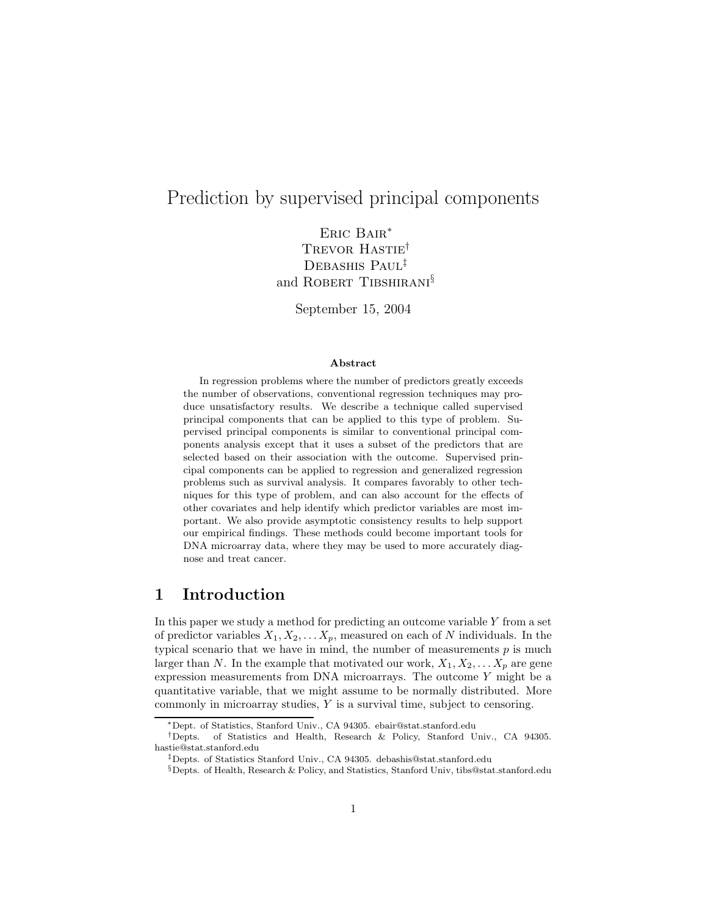# Prediction by supervised principal components

Eric Bair<sup>∗</sup> TREVOR HASTIE<sup>†</sup> Debashis Paul‡ and ROBERT TIBSHIRANI<sup>§</sup>

September 15, 2004

#### Abstract

In regression problems where the number of predictors greatly exceeds the number of observations, conventional regression techniques may produce unsatisfactory results. We describe a technique called supervised principal components that can be applied to this type of problem. Supervised principal components is similar to conventional principal components analysis except that it uses a subset of the predictors that are selected based on their association with the outcome. Supervised principal components can be applied to regression and generalized regression problems such as survival analysis. It compares favorably to other techniques for this type of problem, and can also account for the effects of other covariates and help identify which predictor variables are most important. We also provide asymptotic consistency results to help support our empirical findings. These methods could become important tools for DNA microarray data, where they may be used to more accurately diagnose and treat cancer.

# 1 Introduction

In this paper we study a method for predicting an outcome variable  $Y$  from a set of predictor variables  $X_1, X_2, \ldots X_p$ , measured on each of N individuals. In the typical scenario that we have in mind, the number of measurements  $p$  is much larger than N. In the example that motivated our work,  $X_1, X_2, \ldots X_p$  are gene expression measurements from DNA microarrays. The outcome Y might be a quantitative variable, that we might assume to be normally distributed. More commonly in microarray studies, Y is a survival time, subject to censoring.

<sup>∗</sup>Dept. of Statistics, Stanford Univ., CA 94305. ebair@stat.stanford.edu

<sup>†</sup>Depts. of Statistics and Health, Research & Policy, Stanford Univ., CA 94305. hastie@stat.stanford.edu

<sup>‡</sup>Depts. of Statistics Stanford Univ., CA 94305. debashis@stat.stanford.edu

<sup>§</sup>Depts. of Health, Research & Policy, and Statistics, Stanford Univ, tibs@stat.stanford.edu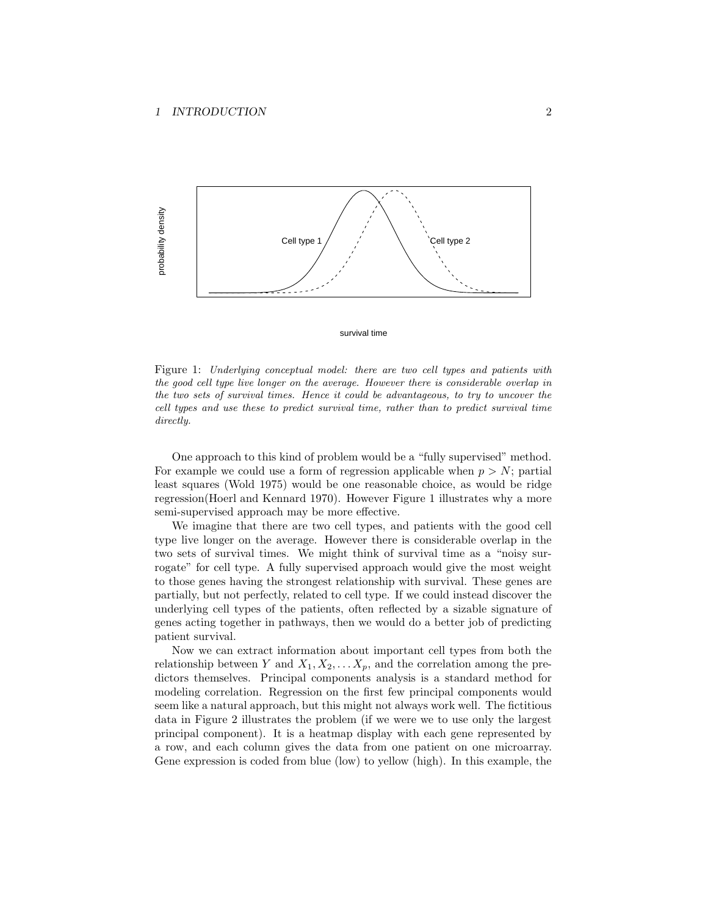

#### survival time

Figure 1: Underlying conceptual model: there are two cell types and patients with the good cell type live longer on the average. However there is considerable overlap in the two sets of survival times. Hence it could be advantageous, to try to uncover the cell types and use these to predict survival time, rather than to predict survival time directly.

One approach to this kind of problem would be a "fully supervised" method. For example we could use a form of regression applicable when  $p > N$ ; partial least squares (Wold 1975) would be one reasonable choice, as would be ridge regression(Hoerl and Kennard 1970). However Figure 1 illustrates why a more semi-supervised approach may be more effective.

We imagine that there are two cell types, and patients with the good cell type live longer on the average. However there is considerable overlap in the two sets of survival times. We might think of survival time as a "noisy surrogate" for cell type. A fully supervised approach would give the most weight to those genes having the strongest relationship with survival. These genes are partially, but not perfectly, related to cell type. If we could instead discover the underlying cell types of the patients, often reflected by a sizable signature of genes acting together in pathways, then we would do a better job of predicting patient survival.

Now we can extract information about important cell types from both the relationship between Y and  $X_1, X_2, \ldots X_p$ , and the correlation among the predictors themselves. Principal components analysis is a standard method for modeling correlation. Regression on the first few principal components would seem like a natural approach, but this might not always work well. The fictitious data in Figure 2 illustrates the problem (if we were we to use only the largest principal component). It is a heatmap display with each gene represented by a row, and each column gives the data from one patient on one microarray. Gene expression is coded from blue (low) to yellow (high). In this example, the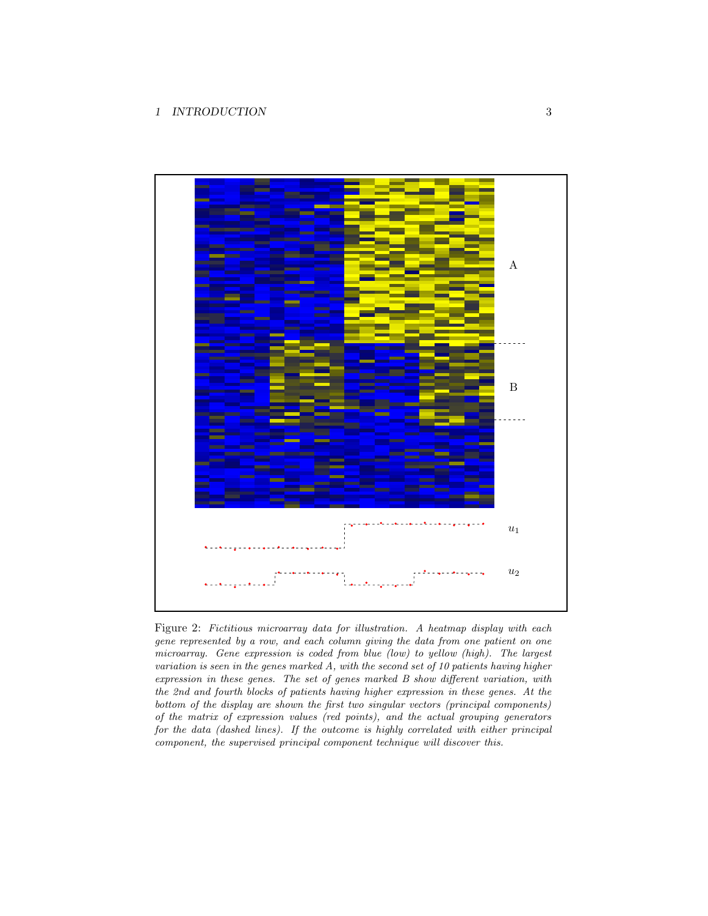### 1 INTRODUCTION 3



Figure 2: Fictitious microarray data for illustration. A heatmap display with each gene represented by a row, and each column giving the data from one patient on one microarray. Gene expression is coded from blue (low) to yellow (high). The largest variation is seen in the genes marked A, with the second set of 10 patients having higher expression in these genes. The set of genes marked B show different variation, with the 2nd and fourth blocks of patients having higher expression in these genes. At the bottom of the display are shown the first two singular vectors (principal components) of the matrix of expression values (red points), and the actual grouping generators for the data (dashed lines). If the outcome is highly correlated with either principal component, the supervised principal component technique will discover this.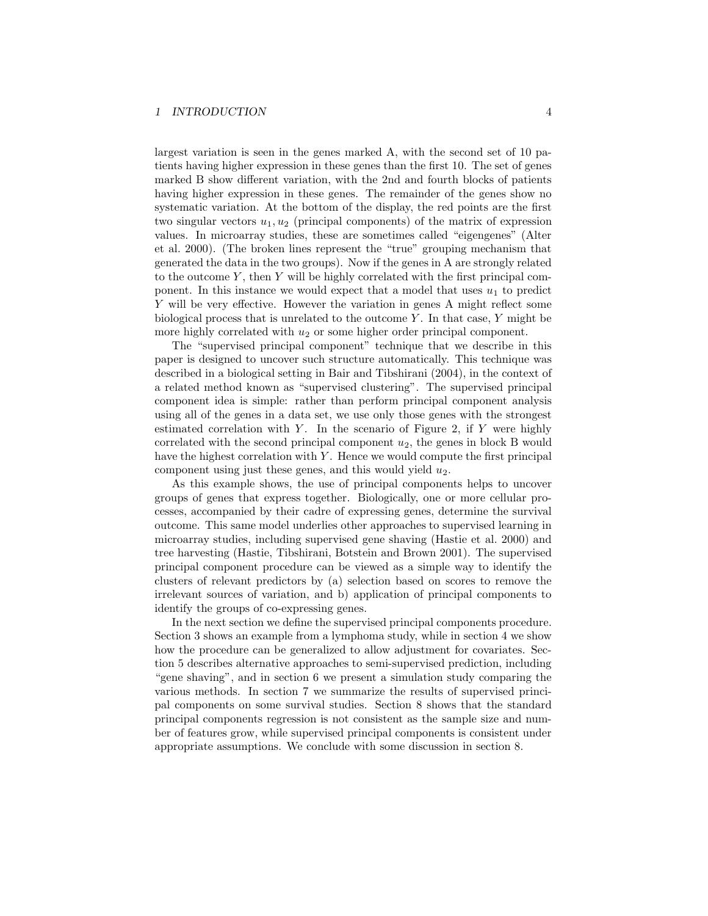largest variation is seen in the genes marked A, with the second set of 10 patients having higher expression in these genes than the first 10. The set of genes marked B show different variation, with the 2nd and fourth blocks of patients having higher expression in these genes. The remainder of the genes show no systematic variation. At the bottom of the display, the red points are the first two singular vectors  $u_1, u_2$  (principal components) of the matrix of expression values. In microarray studies, these are sometimes called "eigengenes" (Alter et al. 2000). (The broken lines represent the "true" grouping mechanism that generated the data in the two groups). Now if the genes in A are strongly related to the outcome  $Y$ , then  $Y$  will be highly correlated with the first principal component. In this instance we would expect that a model that uses  $u_1$  to predict Y will be very effective. However the variation in genes A might reflect some biological process that is unrelated to the outcome  $Y$ . In that case,  $Y$  might be more highly correlated with  $u_2$  or some higher order principal component.

The "supervised principal component" technique that we describe in this paper is designed to uncover such structure automatically. This technique was described in a biological setting in Bair and Tibshirani (2004), in the context of a related method known as "supervised clustering". The supervised principal component idea is simple: rather than perform principal component analysis using all of the genes in a data set, we use only those genes with the strongest estimated correlation with  $Y$ . In the scenario of Figure 2, if  $Y$  were highly correlated with the second principal component  $u_2$ , the genes in block B would have the highest correlation with  $Y$ . Hence we would compute the first principal component using just these genes, and this would yield  $u_2$ .

As this example shows, the use of principal components helps to uncover groups of genes that express together. Biologically, one or more cellular processes, accompanied by their cadre of expressing genes, determine the survival outcome. This same model underlies other approaches to supervised learning in microarray studies, including supervised gene shaving (Hastie et al. 2000) and tree harvesting (Hastie, Tibshirani, Botstein and Brown 2001). The supervised principal component procedure can be viewed as a simple way to identify the clusters of relevant predictors by (a) selection based on scores to remove the irrelevant sources of variation, and b) application of principal components to identify the groups of co-expressing genes.

In the next section we define the supervised principal components procedure. Section 3 shows an example from a lymphoma study, while in section 4 we show how the procedure can be generalized to allow adjustment for covariates. Section 5 describes alternative approaches to semi-supervised prediction, including "gene shaving", and in section 6 we present a simulation study comparing the various methods. In section 7 we summarize the results of supervised principal components on some survival studies. Section 8 shows that the standard principal components regression is not consistent as the sample size and number of features grow, while supervised principal components is consistent under appropriate assumptions. We conclude with some discussion in section 8.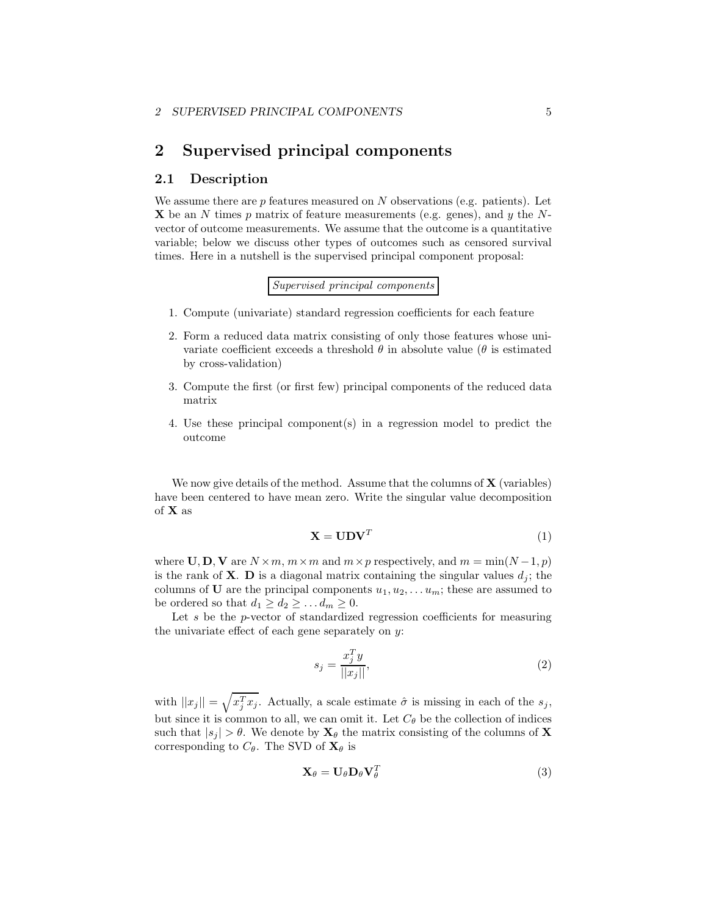## 2 Supervised principal components

### 2.1 Description

We assume there are  $p$  features measured on  $N$  observations (e.g. patients). Let  $X$  be an N times p matrix of feature measurements (e.g. genes), and y the Nvector of outcome measurements. We assume that the outcome is a quantitative variable; below we discuss other types of outcomes such as censored survival times. Here in a nutshell is the supervised principal component proposal:

Supervised principal components

- 1. Compute (univariate) standard regression coefficients for each feature
- 2. Form a reduced data matrix consisting of only those features whose univariate coefficient exceeds a threshold  $\theta$  in absolute value ( $\theta$  is estimated by cross-validation)
- 3. Compute the first (or first few) principal components of the reduced data matrix
- 4. Use these principal component(s) in a regression model to predict the outcome

We now give details of the method. Assume that the columns of  $X$  (variables) have been centered to have mean zero. Write the singular value decomposition of X as

$$
\mathbf{X} = \mathbf{U} \mathbf{D} \mathbf{V}^T \tag{1}
$$

where  $\mathbf{U}, \mathbf{D}, \mathbf{V}$  are  $N \times m$ ,  $m \times m$  and  $m \times p$  respectively, and  $m = \min(N-1, p)$ is the rank of **X**. **D** is a diagonal matrix containing the singular values  $d_i$ ; the columns of **U** are the principal components  $u_1, u_2, \ldots u_m$ ; these are assumed to be ordered so that  $d_1 \geq d_2 \geq \ldots d_m \geq 0$ .

Let  $s$  be the  $p$ -vector of standardized regression coefficients for measuring the univariate effect of each gene separately on y:

$$
s_j = \frac{x_j^T y}{||x_j||},\tag{2}
$$

with  $||x_j|| = \sqrt{x_j^T x_j}$ . Actually, a scale estimate  $\hat{\sigma}$  is missing in each of the  $s_j$ , but since it is common to all, we can omit it. Let  $C_{\theta}$  be the collection of indices such that  $|s_i| > \theta$ . We denote by  $\mathbf{X}_{\theta}$  the matrix consisting of the columns of X corresponding to  $C_{\theta}$ . The SVD of  $\mathbf{X}_{\theta}$  is

$$
\mathbf{X}_{\theta} = \mathbf{U}_{\theta} \mathbf{D}_{\theta} \mathbf{V}_{\theta}^{T}
$$
 (3)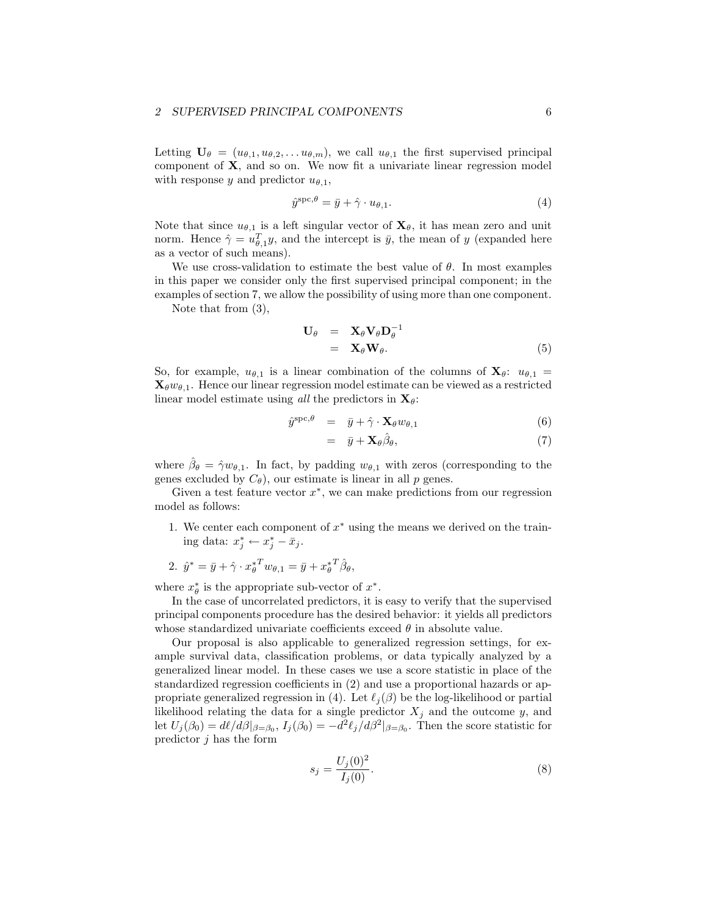#### 2 SUPERVISED PRINCIPAL COMPONENTS 6

Letting  $\mathbf{U}_{\theta} = (u_{\theta,1}, u_{\theta,2}, \dots u_{\theta,m})$ , we call  $u_{\theta,1}$  the first supervised principal component of X, and so on. We now fit a univariate linear regression model with response y and predictor  $u_{\theta,1}$ ,

$$
\hat{y}^{\text{spc},\theta} = \bar{y} + \hat{\gamma} \cdot u_{\theta,1}.\tag{4}
$$

Note that since  $u_{\theta,1}$  is a left singular vector of  $\mathbf{X}_{\theta}$ , it has mean zero and unit norm. Hence  $\hat{\gamma} = u_{\theta,1}^T y$ , and the intercept is  $\bar{y}$ , the mean of y (expanded here as a vector of such means).

We use cross-validation to estimate the best value of  $\theta$ . In most examples in this paper we consider only the first supervised principal component; in the examples of section 7, we allow the possibility of using more than one component.

Note that from (3),

$$
\mathbf{U}_{\theta} = \mathbf{X}_{\theta} \mathbf{V}_{\theta} \mathbf{D}_{\theta}^{-1} \n= \mathbf{X}_{\theta} \mathbf{W}_{\theta}.
$$
\n(5)

So, for example,  $u_{\theta,1}$  is a linear combination of the columns of  $\mathbf{X}_{\theta}$ :  $u_{\theta,1}$  =  $\mathbf{X}_{\theta} w_{\theta,1}$ . Hence our linear regression model estimate can be viewed as a restricted linear model estimate using all the predictors in  $\mathbf{X}_{\theta}$ :

$$
\hat{y}^{\text{spc},\theta} = \bar{y} + \hat{\gamma} \cdot \mathbf{X}_{\theta} w_{\theta,1} \tag{6}
$$

$$
= \bar{y} + \mathbf{X}_{\theta} \hat{\beta}_{\theta}, \tag{7}
$$

where  $\hat{\beta}_{\theta} = \hat{\gamma} w_{\theta,1}$ . In fact, by padding  $w_{\theta,1}$  with zeros (corresponding to the genes excluded by  $C_{\theta}$ ), our estimate is linear in all p genes.

Given a test feature vector  $x^*$ , we can make predictions from our regression model as follows:

1. We center each component of  $x^*$  using the means we derived on the training data:  $x_j^* \leftarrow x_j^* - \bar{x}_j$ .

2. 
$$
\hat{y}^* = \bar{y} + \hat{\gamma} \cdot x_{\theta}^{*T} w_{\theta,1} = \bar{y} + x_{\theta}^{*T} \hat{\beta}_{\theta},
$$

where  $x^*_{\theta}$  is the appropriate sub-vector of  $x^*$ .

In the case of uncorrelated predictors, it is easy to verify that the supervised principal components procedure has the desired behavior: it yields all predictors whose standardized univariate coefficients exceed  $\theta$  in absolute value.

Our proposal is also applicable to generalized regression settings, for example survival data, classification problems, or data typically analyzed by a generalized linear model. In these cases we use a score statistic in place of the standardized regression coefficients in (2) and use a proportional hazards or appropriate generalized regression in (4). Let  $\ell_i(\beta)$  be the log-likelihood or partial likelihood relating the data for a single predictor  $X_j$  and the outcome y, and let  $U_j(\beta_0) = d\ell/d\beta|_{\beta=\beta_0}, I_j(\beta_0) = -d^2\ell_j/d\beta^2|_{\beta=\beta_0}$ . Then the score statistic for predictor  $j$  has the form

$$
s_j = \frac{U_j(0)^2}{I_j(0)}.\t(8)
$$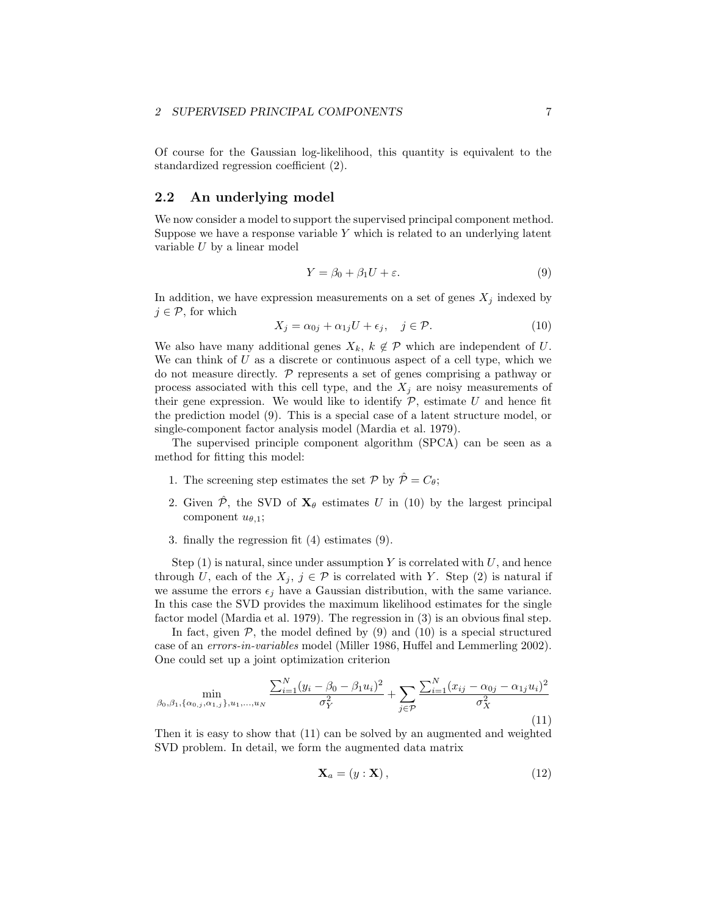#### 2 SUPERVISED PRINCIPAL COMPONENTS 7

Of course for the Gaussian log-likelihood, this quantity is equivalent to the standardized regression coefficient (2).

## 2.2 An underlying model

We now consider a model to support the supervised principal component method. Suppose we have a response variable  $Y$  which is related to an underlying latent variable U by a linear model

$$
Y = \beta_0 + \beta_1 U + \varepsilon. \tag{9}
$$

In addition, we have expression measurements on a set of genes  $X_j$  indexed by  $j \in \mathcal{P}$ , for which

$$
X_j = \alpha_{0j} + \alpha_{1j}U + \epsilon_j, \quad j \in \mathcal{P}.
$$
 (10)

We also have many additional genes  $X_k$ ,  $k \notin \mathcal{P}$  which are independent of U. We can think of U as a discrete or continuous aspect of a cell type, which we do not measure directly.  $P$  represents a set of genes comprising a pathway or process associated with this cell type, and the  $X_j$  are noisy measurements of their gene expression. We would like to identify  $P$ , estimate  $U$  and hence fit the prediction model (9). This is a special case of a latent structure model, or single-component factor analysis model (Mardia et al. 1979).

The supervised principle component algorithm (SPCA) can be seen as a method for fitting this model:

- 1. The screening step estimates the set  $\mathcal{P}$  by  $\hat{\mathcal{P}} = C_{\theta}$ ;
- 2. Given  $\hat{\mathcal{P}}$ , the SVD of  $\mathbf{X}_{\theta}$  estimates U in (10) by the largest principal component  $u_{\theta,1}$ ;
- 3. finally the regression fit (4) estimates (9).

Step  $(1)$  is natural, since under assumption Y is correlated with U, and hence through U, each of the  $X_j$ ,  $j \in \mathcal{P}$  is correlated with Y. Step (2) is natural if we assume the errors  $\epsilon_j$  have a Gaussian distribution, with the same variance. In this case the SVD provides the maximum likelihood estimates for the single factor model (Mardia et al. 1979). The regression in (3) is an obvious final step.

In fact, given  $P$ , the model defined by (9) and (10) is a special structured case of an errors-in-variables model (Miller 1986, Huffel and Lemmerling 2002). One could set up a joint optimization criterion

$$
\min_{\beta_0, \beta_1, \{\alpha_{0,j}, \alpha_{1,j}\}, u_1, \dots, u_N} \frac{\sum_{i=1}^N (y_i - \beta_0 - \beta_1 u_i)^2}{\sigma_Y^2} + \sum_{j \in \mathcal{P}} \frac{\sum_{i=1}^N (x_{ij} - \alpha_{0j} - \alpha_{1j} u_i)^2}{\sigma_X^2}
$$
\n(11)

Then it is easy to show that (11) can be solved by an augmented and weighted SVD problem. In detail, we form the augmented data matrix

$$
\mathbf{X}_a = (y : \mathbf{X}),\tag{12}
$$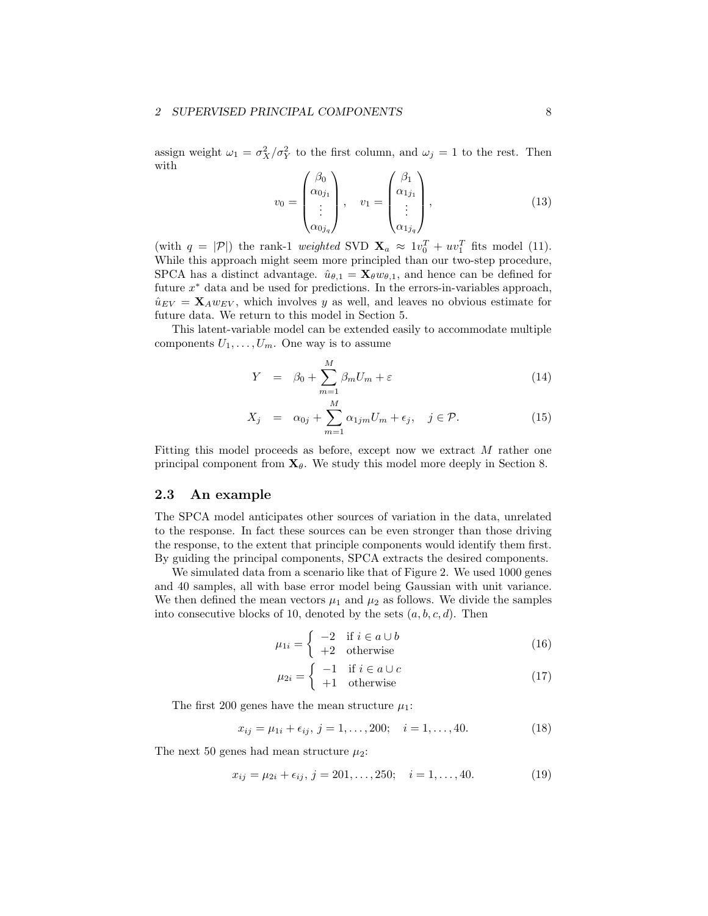#### 2 SUPERVISED PRINCIPAL COMPONENTS 8

assign weight  $\omega_1 = \sigma_X^2/\sigma_Y^2$  to the first column, and  $\omega_j = 1$  to the rest. Then with

$$
v_0 = \begin{pmatrix} \beta_0 \\ \alpha_{0j_1} \\ \vdots \\ \alpha_{0j_q} \end{pmatrix}, \quad v_1 = \begin{pmatrix} \beta_1 \\ \alpha_{1j_1} \\ \vdots \\ \alpha_{1j_q} \end{pmatrix}, \tag{13}
$$

(with  $q = |\mathcal{P}|$ ) the rank-1 weighted SVD  $\mathbf{X}_a \approx 1v_0^T + uv_1^T$  fits model (11). While this approach might seem more principled than our two-step procedure, SPCA has a distinct advantage.  $\hat{u}_{\theta,1} = \mathbf{X}_{\theta} w_{\theta,1}$ , and hence can be defined for future  $x^*$  data and be used for predictions. In the errors-in-variables approach,  $\hat{u}_{EV} = \mathbf{X}_{A} w_{EV}$ , which involves y as well, and leaves no obvious estimate for future data. We return to this model in Section 5.

This latent-variable model can be extended easily to accommodate multiple components  $U_1, \ldots, U_m$ . One way is to assume

$$
Y = \beta_0 + \sum_{m=1}^{M} \beta_m U_m + \varepsilon \tag{14}
$$

$$
X_j = \alpha_{0j} + \sum_{m=1}^{M} \alpha_{1jm} U_m + \epsilon_j, \quad j \in \mathcal{P}.
$$
 (15)

Fitting this model proceeds as before, except now we extract M rather one principal component from  $\mathbf{X}_{\theta}$ . We study this model more deeply in Section 8.

## 2.3 An example

The SPCA model anticipates other sources of variation in the data, unrelated to the response. In fact these sources can be even stronger than those driving the response, to the extent that principle components would identify them first. By guiding the principal components, SPCA extracts the desired components.

We simulated data from a scenario like that of Figure 2. We used 1000 genes and 40 samples, all with base error model being Gaussian with unit variance. We then defined the mean vectors  $\mu_1$  and  $\mu_2$  as follows. We divide the samples into consecutive blocks of 10, denoted by the sets  $(a, b, c, d)$ . Then

$$
\mu_{1i} = \begin{cases}\n-2 & \text{if } i \in a \cup b \\
+2 & \text{otherwise}\n\end{cases}
$$
\n(16)

$$
\mu_{2i} = \begin{cases}\n-1 & \text{if } i \in a \cup c \\
+1 & \text{otherwise}\n\end{cases}
$$
\n(17)

The first 200 genes have the mean structure  $\mu_1$ :

$$
x_{ij} = \mu_{1i} + \epsilon_{ij}, \ j = 1, \dots, 200; \quad i = 1, \dots, 40. \tag{18}
$$

The next 50 genes had mean structure  $\mu_2$ :

$$
x_{ij} = \mu_{2i} + \epsilon_{ij}, \ j = 201, \dots, 250; \quad i = 1, \dots, 40. \tag{19}
$$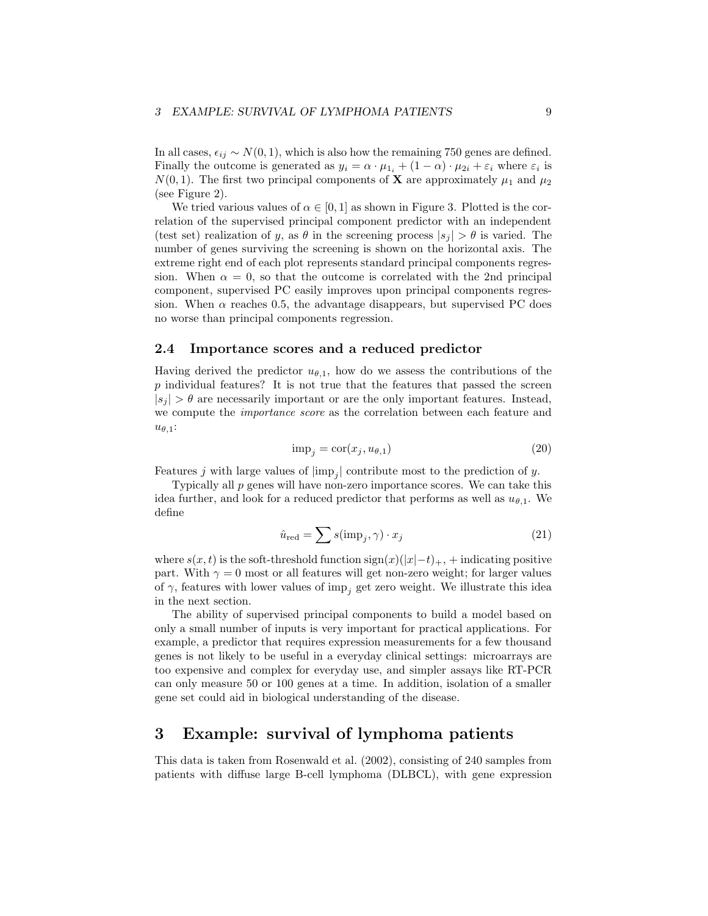In all cases,  $\epsilon_{ij} \sim N(0, 1)$ , which is also how the remaining 750 genes are defined. Finally the outcome is generated as  $y_i = \alpha \cdot \mu_{1_i} + (1 - \alpha) \cdot \mu_{2i} + \varepsilon_i$  where  $\varepsilon_i$  is  $N(0, 1)$ . The first two principal components of **X** are approximately  $\mu_1$  and  $\mu_2$ (see Figure 2).

We tried various values of  $\alpha \in [0, 1]$  as shown in Figure 3. Plotted is the correlation of the supervised principal component predictor with an independent (test set) realization of y, as  $\theta$  in the screening process  $|s_j| > \theta$  is varied. The number of genes surviving the screening is shown on the horizontal axis. The extreme right end of each plot represents standard principal components regression. When  $\alpha = 0$ , so that the outcome is correlated with the 2nd principal component, supervised PC easily improves upon principal components regression. When  $\alpha$  reaches 0.5, the advantage disappears, but supervised PC does no worse than principal components regression.

### 2.4 Importance scores and a reduced predictor

Having derived the predictor  $u_{\theta,1}$ , how do we assess the contributions of the  $p$  individual features? It is not true that the features that passed the screen  $|s_i| > \theta$  are necessarily important or are the only important features. Instead, we compute the importance score as the correlation between each feature and  $u_{\theta,1}$ :

$$
imp_j = \text{cor}(x_j, u_{\theta,1})
$$
\n(20)

Features j with large values of  $|\text{imp}_j|$  contribute most to the prediction of y.

Typically all p genes will have non-zero importance scores. We can take this idea further, and look for a reduced predictor that performs as well as  $u_{\theta,1}$ . We define

$$
\hat{u}_{\text{red}} = \sum s(\text{imp}_j, \gamma) \cdot x_j \tag{21}
$$

where  $s(x,t)$  is the soft-threshold function  $sign(x)(|x|-t)_{+}$ , + indicating positive part. With  $\gamma = 0$  most or all features will get non-zero weight; for larger values of  $\gamma$ , features with lower values of imp<sub>j</sub> get zero weight. We illustrate this idea in the next section.

The ability of supervised principal components to build a model based on only a small number of inputs is very important for practical applications. For example, a predictor that requires expression measurements for a few thousand genes is not likely to be useful in a everyday clinical settings: microarrays are too expensive and complex for everyday use, and simpler assays like RT-PCR can only measure 50 or 100 genes at a time. In addition, isolation of a smaller gene set could aid in biological understanding of the disease.

# 3 Example: survival of lymphoma patients

This data is taken from Rosenwald et al. (2002), consisting of 240 samples from patients with diffuse large B-cell lymphoma (DLBCL), with gene expression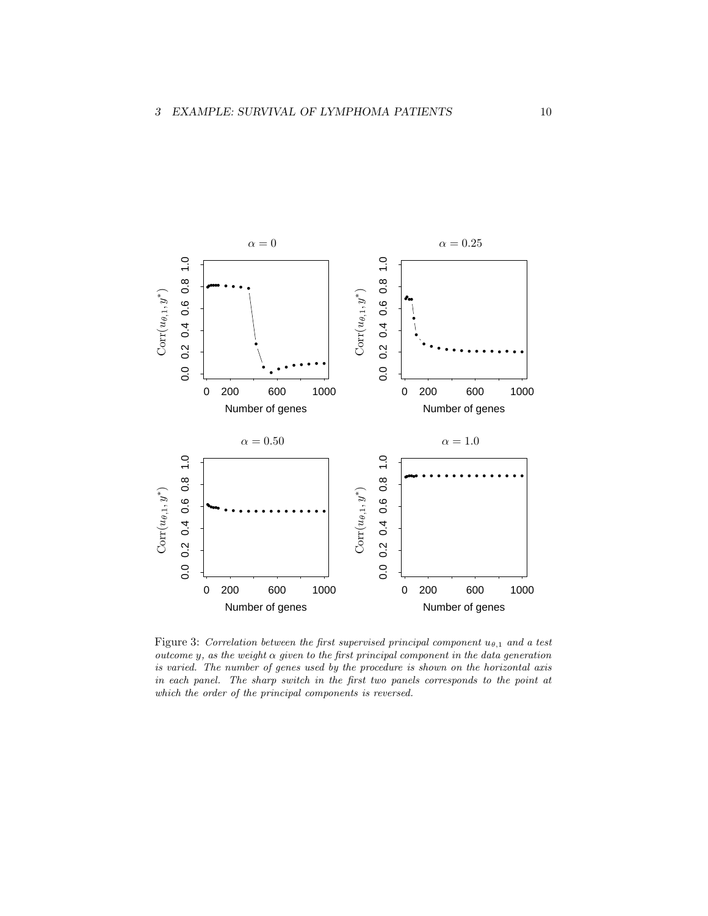

Figure 3: Correlation between the first supervised principal component  $u_{\theta,1}$  and a test outcome  $y$ , as the weight  $\alpha$  given to the first principal component in the data generation is varied. The number of genes used by the procedure is shown on the horizontal axis in each panel. The sharp switch in the first two panels corresponds to the point at which the order of the principal components is reversed.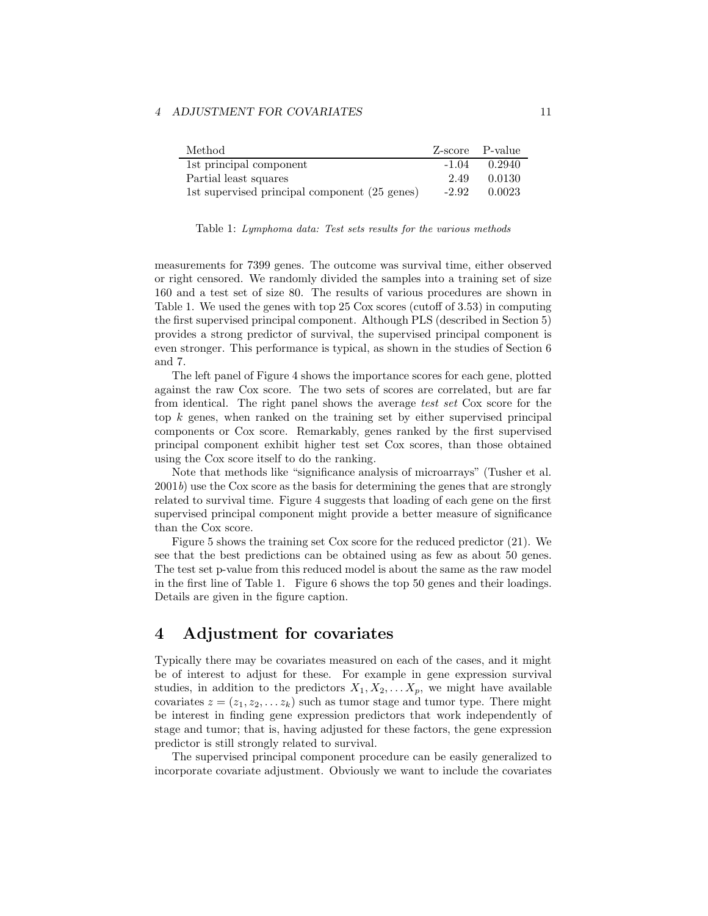#### 4 ADJUSTMENT FOR COVARIATES 11

| Method                                        |         | Z-score P-value |
|-----------------------------------------------|---------|-----------------|
| 1st principal component                       | $-1.04$ | 0.2940          |
| Partial least squares                         | 2.49    | 0.0130          |
| 1st supervised principal component (25 genes) | $-2.92$ | 0.0023          |

Table 1: Lymphoma data: Test sets results for the various methods

measurements for 7399 genes. The outcome was survival time, either observed or right censored. We randomly divided the samples into a training set of size 160 and a test set of size 80. The results of various procedures are shown in Table 1. We used the genes with top 25 Cox scores (cutoff of 3.53) in computing the first supervised principal component. Although PLS (described in Section 5) provides a strong predictor of survival, the supervised principal component is even stronger. This performance is typical, as shown in the studies of Section 6 and 7.

The left panel of Figure 4 shows the importance scores for each gene, plotted against the raw Cox score. The two sets of scores are correlated, but are far from identical. The right panel shows the average test set Cox score for the top k genes, when ranked on the training set by either supervised principal components or Cox score. Remarkably, genes ranked by the first supervised principal component exhibit higher test set Cox scores, than those obtained using the Cox score itself to do the ranking.

Note that methods like "significance analysis of microarrays" (Tusher et al.  $2001b$ ) use the Cox score as the basis for determining the genes that are strongly related to survival time. Figure 4 suggests that loading of each gene on the first supervised principal component might provide a better measure of significance than the Cox score.

Figure 5 shows the training set Cox score for the reduced predictor (21). We see that the best predictions can be obtained using as few as about 50 genes. The test set p-value from this reduced model is about the same as the raw model in the first line of Table 1. Figure 6 shows the top 50 genes and their loadings. Details are given in the figure caption.

# 4 Adjustment for covariates

Typically there may be covariates measured on each of the cases, and it might be of interest to adjust for these. For example in gene expression survival studies, in addition to the predictors  $X_1, X_2, \ldots X_p$ , we might have available covariates  $z = (z_1, z_2, \dots z_k)$  such as tumor stage and tumor type. There might be interest in finding gene expression predictors that work independently of stage and tumor; that is, having adjusted for these factors, the gene expression predictor is still strongly related to survival.

The supervised principal component procedure can be easily generalized to incorporate covariate adjustment. Obviously we want to include the covariates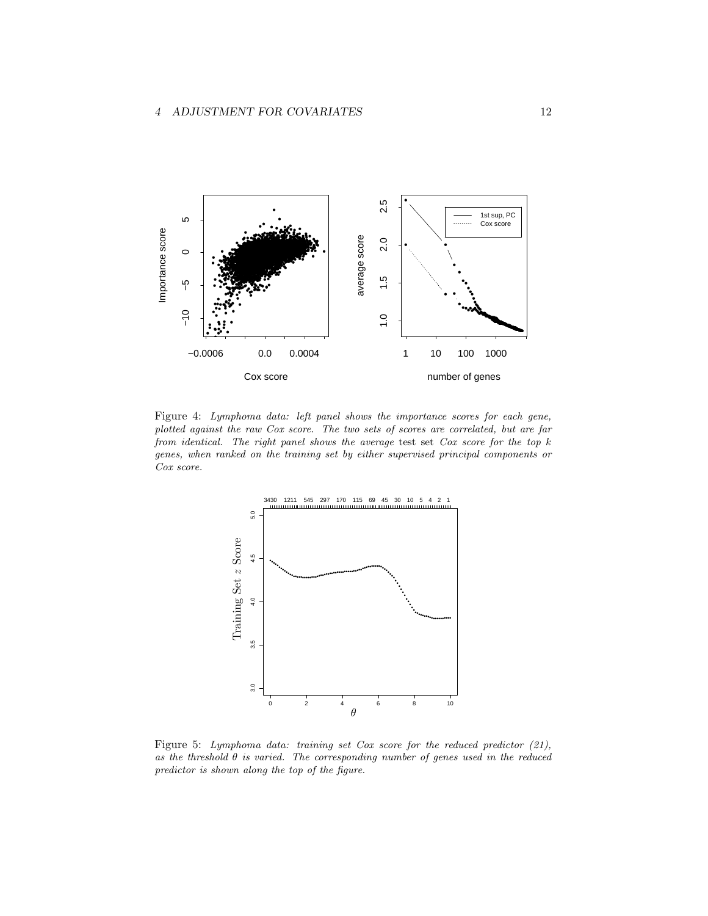

Figure 4: Lymphoma data: left panel shows the importance scores for each gene, plotted against the raw Cox score. The two sets of scores are correlated, but are far from identical. The right panel shows the average test set  $Cox$  score for the top  $k$ genes, when ranked on the training set by either supervised principal components or Cox score.



Figure 5: Lymphoma data: training set Cox score for the reduced predictor  $(21)$ , as the threshold  $\theta$  is varied. The corresponding number of genes used in the reduced predictor is shown along the top of the figure.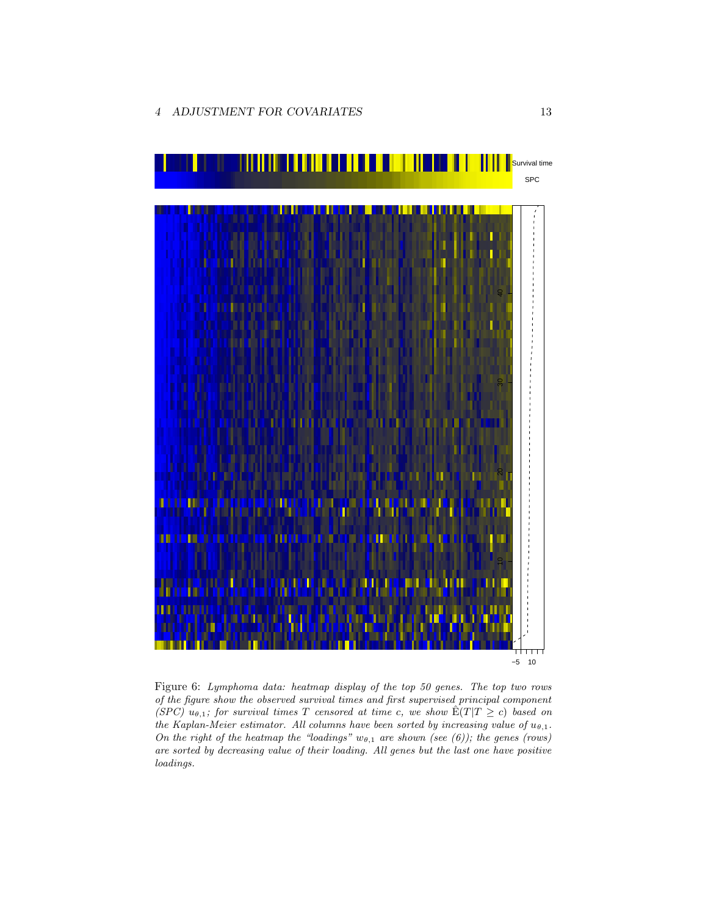

Figure 6: Lymphoma data: heatmap display of the top 50 genes. The top two rows of the figure show the observed survival times and first supervised principal component (SPC)  $u_{\theta,1}$ ; for survival times T censored at time c, we show  $\hat{E}(T|T \ge c)$  based on the Kaplan-Meier estimator. All columns have been sorted by increasing value of  $u_{\theta,1}$ . On the right of the heatmap the "loadings"  $w_{\theta,1}$  are shown (see (6)); the genes (rows) are sorted by decreasing value of their loading. All genes but the last one have positive loadings.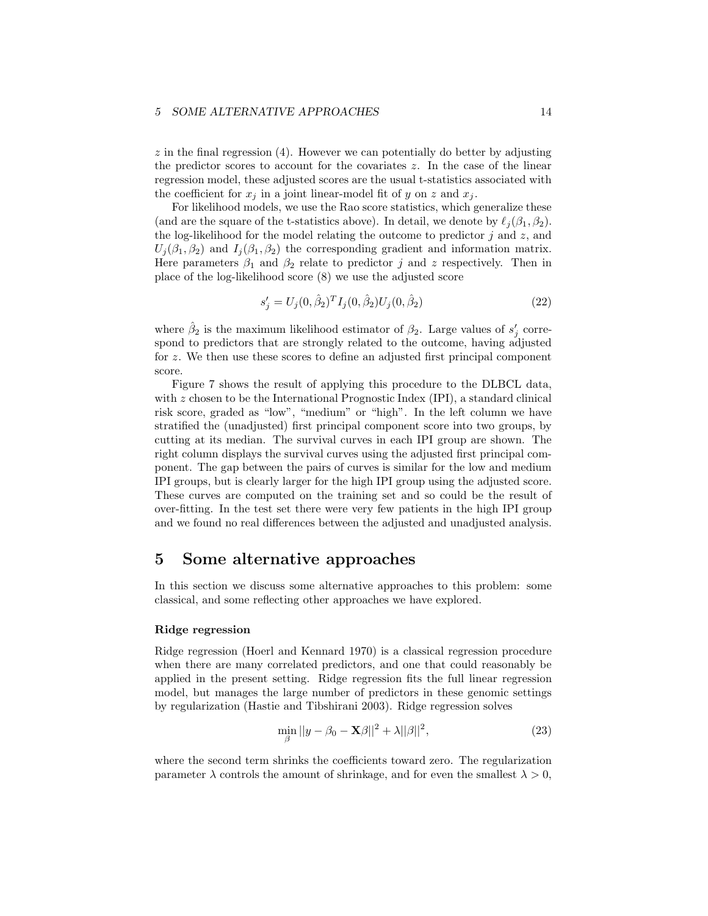$z$  in the final regression (4). However we can potentially do better by adjusting the predictor scores to account for the covariates z. In the case of the linear regression model, these adjusted scores are the usual t-statistics associated with the coefficient for  $x_j$  in a joint linear-model fit of y on z and  $x_j$ .

For likelihood models, we use the Rao score statistics, which generalize these (and are the square of the t-statistics above). In detail, we denote by  $\ell_i (\beta_1, \beta_2)$ . the log-likelihood for the model relating the outcome to predictor  $j$  and  $z$ , and  $U_i(\beta_1, \beta_2)$  and  $I_i(\beta_1, \beta_2)$  the corresponding gradient and information matrix. Here parameters  $\beta_1$  and  $\beta_2$  relate to predictor j and z respectively. Then in place of the log-likelihood score (8) we use the adjusted score

$$
s'_{j} = U_{j}(0, \hat{\beta}_{2})^{T} I_{j}(0, \hat{\beta}_{2}) U_{j}(0, \hat{\beta}_{2})
$$
\n(22)

where  $\hat{\beta}_2$  is the maximum likelihood estimator of  $\beta_2$ . Large values of  $s'_j$  correspond to predictors that are strongly related to the outcome, having adjusted for z. We then use these scores to define an adjusted first principal component score.

Figure 7 shows the result of applying this procedure to the DLBCL data, with z chosen to be the International Prognostic Index (IPI), a standard clinical risk score, graded as "low", "medium" or "high". In the left column we have stratified the (unadjusted) first principal component score into two groups, by cutting at its median. The survival curves in each IPI group are shown. The right column displays the survival curves using the adjusted first principal component. The gap between the pairs of curves is similar for the low and medium IPI groups, but is clearly larger for the high IPI group using the adjusted score. These curves are computed on the training set and so could be the result of over-fitting. In the test set there were very few patients in the high IPI group and we found no real differences between the adjusted and unadjusted analysis.

# 5 Some alternative approaches

In this section we discuss some alternative approaches to this problem: some classical, and some reflecting other approaches we have explored.

#### Ridge regression

Ridge regression (Hoerl and Kennard 1970) is a classical regression procedure when there are many correlated predictors, and one that could reasonably be applied in the present setting. Ridge regression fits the full linear regression model, but manages the large number of predictors in these genomic settings by regularization (Hastie and Tibshirani 2003). Ridge regression solves

$$
\min_{\beta} ||y - \beta_0 - \mathbf{X}\beta||^2 + \lambda ||\beta||^2,\tag{23}
$$

where the second term shrinks the coefficients toward zero. The regularization parameter  $\lambda$  controls the amount of shrinkage, and for even the smallest  $\lambda > 0$ ,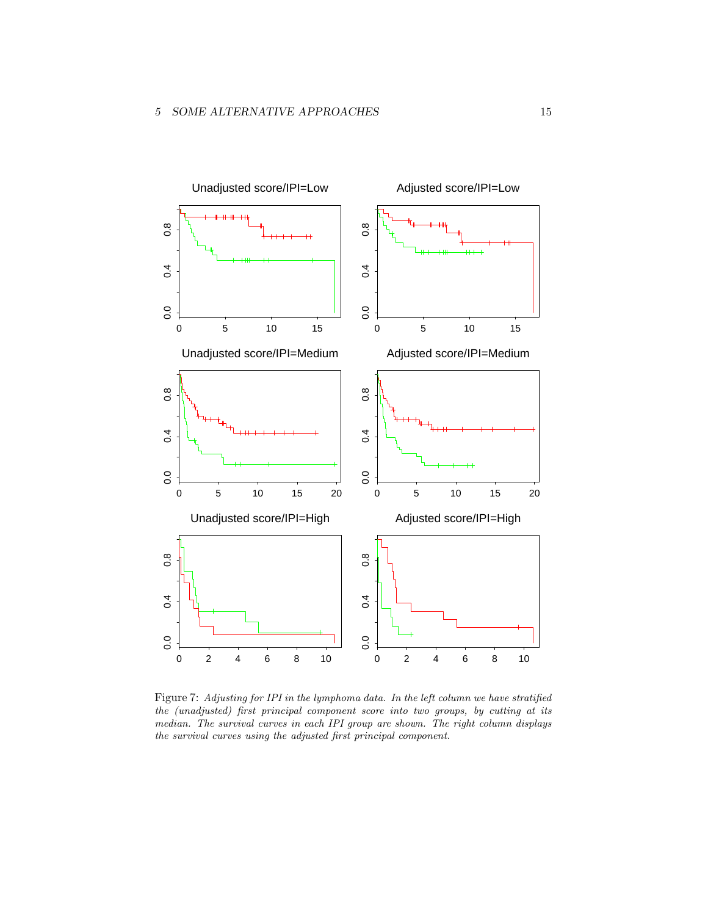

Figure 7: Adjusting for IPI in the lymphoma data. In the left column we have stratified the (unadjusted) first principal component score into two groups, by cutting at its median. The survival curves in each IPI group are shown. The right column displays the survival curves using the adjusted first principal component.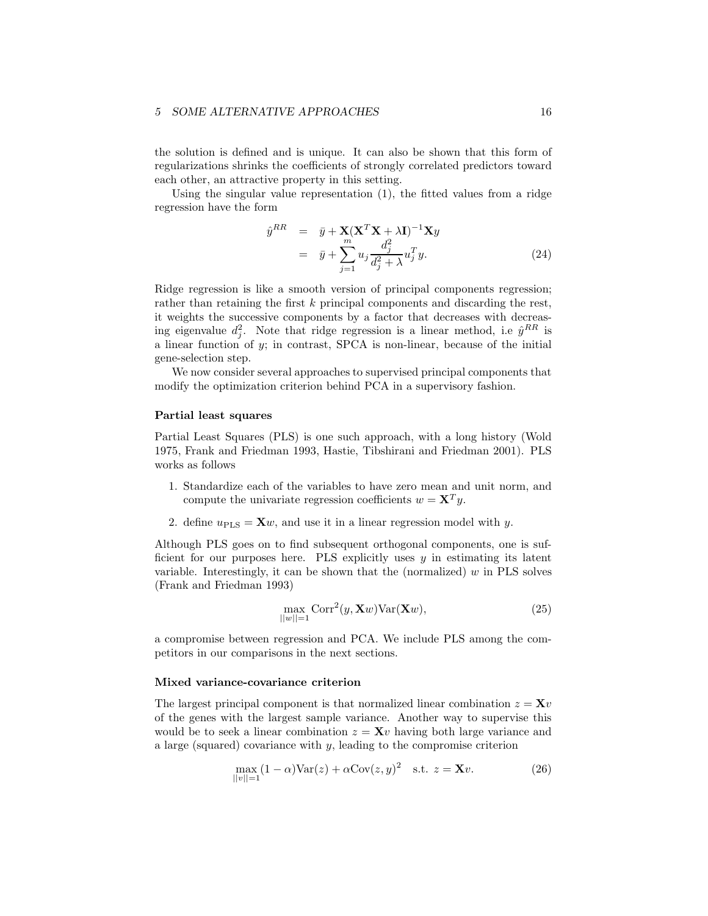the solution is defined and is unique. It can also be shown that this form of regularizations shrinks the coefficients of strongly correlated predictors toward each other, an attractive property in this setting.

Using the singular value representation (1), the fitted values from a ridge regression have the form

$$
\hat{y}^{RR} = \bar{y} + \mathbf{X}(\mathbf{X}^T \mathbf{X} + \lambda \mathbf{I})^{-1} \mathbf{X} y
$$
\n
$$
= \bar{y} + \sum_{j=1}^{m} u_j \frac{d_j^2}{d_j^2 + \lambda} u_j^T y. \tag{24}
$$

Ridge regression is like a smooth version of principal components regression; rather than retaining the first k principal components and discarding the rest, it weights the successive components by a factor that decreases with decreasing eigenvalue  $d_j^2$ . Note that ridge regression is a linear method, i.e  $\hat{y}^{RR}$  is a linear function of  $y$ ; in contrast, SPCA is non-linear, because of the initial gene-selection step.

We now consider several approaches to supervised principal components that modify the optimization criterion behind PCA in a supervisory fashion.

#### Partial least squares

Partial Least Squares (PLS) is one such approach, with a long history (Wold 1975, Frank and Friedman 1993, Hastie, Tibshirani and Friedman 2001). PLS works as follows

- 1. Standardize each of the variables to have zero mean and unit norm, and compute the univariate regression coefficients  $w = \mathbf{X}^T y$ .
- 2. define  $u_{\text{PLS}} = \mathbf{X}w$ , and use it in a linear regression model with y.

Although PLS goes on to find subsequent orthogonal components, one is sufficient for our purposes here. PLS explicitly uses y in estimating its latent variable. Interestingly, it can be shown that the (normalized)  $w$  in PLS solves (Frank and Friedman 1993)

$$
\max_{||w||=1} \text{Corr}^2(y, \mathbf{X}w) \text{Var}(\mathbf{X}w),\tag{25}
$$

a compromise between regression and PCA. We include PLS among the competitors in our comparisons in the next sections.

#### Mixed variance-covariance criterion

The largest principal component is that normalized linear combination  $z = \mathbf{X}v$ of the genes with the largest sample variance. Another way to supervise this would be to seek a linear combination  $z = \mathbf{X}v$  having both large variance and a large (squared) covariance with y, leading to the compromise criterion

$$
\max_{||v||=1} (1 - \alpha) \text{Var}(z) + \alpha \text{Cov}(z, y)^2 \quad \text{s.t. } z = \mathbf{X}v. \tag{26}
$$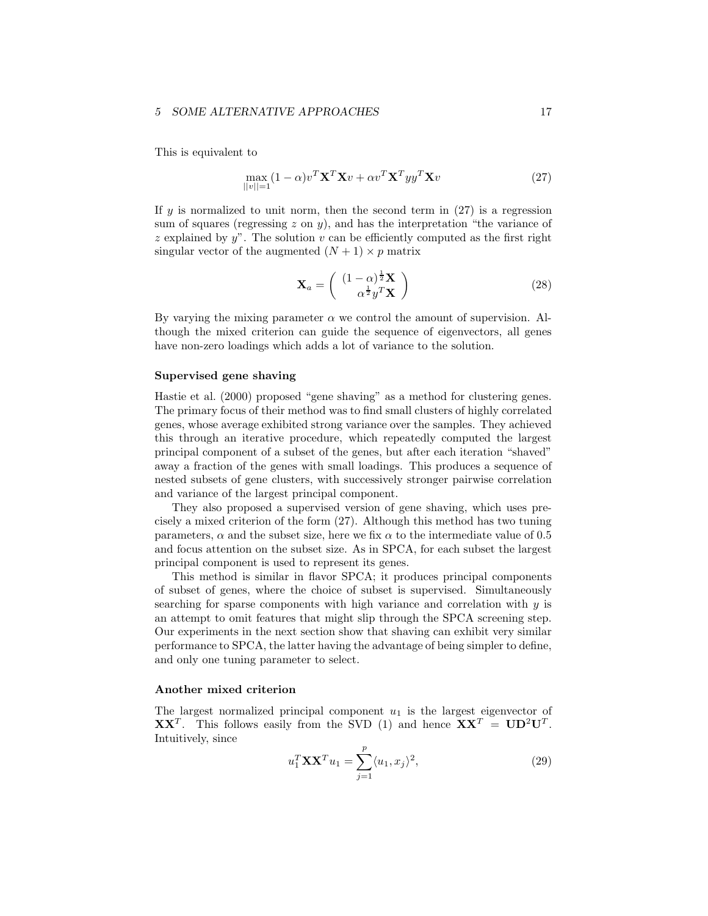This is equivalent to

$$
\max_{||v||=1} (1-\alpha)v^T \mathbf{X}^T \mathbf{X} v + \alpha v^T \mathbf{X}^T y y^T \mathbf{X} v \tag{27}
$$

If y is normalized to unit norm, then the second term in  $(27)$  is a regression sum of squares (regressing  $z$  on  $y$ ), and has the interpretation "the variance of z explained by  $y$ ". The solution v can be efficiently computed as the first right singular vector of the augmented  $(N + 1) \times p$  matrix

$$
\mathbf{X}_a = \begin{pmatrix} (1-\alpha)^{\frac{1}{2}} \mathbf{X} \\ \alpha^{\frac{1}{2}} y^T \mathbf{X} \end{pmatrix}
$$
 (28)

By varying the mixing parameter  $\alpha$  we control the amount of supervision. Although the mixed criterion can guide the sequence of eigenvectors, all genes have non-zero loadings which adds a lot of variance to the solution.

#### Supervised gene shaving

Hastie et al. (2000) proposed "gene shaving" as a method for clustering genes. The primary focus of their method was to find small clusters of highly correlated genes, whose average exhibited strong variance over the samples. They achieved this through an iterative procedure, which repeatedly computed the largest principal component of a subset of the genes, but after each iteration "shaved" away a fraction of the genes with small loadings. This produces a sequence of nested subsets of gene clusters, with successively stronger pairwise correlation and variance of the largest principal component.

They also proposed a supervised version of gene shaving, which uses precisely a mixed criterion of the form (27). Although this method has two tuning parameters,  $\alpha$  and the subset size, here we fix  $\alpha$  to the intermediate value of 0.5 and focus attention on the subset size. As in SPCA, for each subset the largest principal component is used to represent its genes.

This method is similar in flavor SPCA; it produces principal components of subset of genes, where the choice of subset is supervised. Simultaneously searching for sparse components with high variance and correlation with  $y$  is an attempt to omit features that might slip through the SPCA screening step. Our experiments in the next section show that shaving can exhibit very similar performance to SPCA, the latter having the advantage of being simpler to define, and only one tuning parameter to select.

#### Another mixed criterion

The largest normalized principal component  $u_1$  is the largest eigenvector of **XX**<sup>T</sup>. This follows easily from the SVD (1) and hence  $XX<sup>T</sup> = UD<sup>2</sup>U<sup>T</sup>$ . Intuitively, since

$$
u_1^T \mathbf{X} \mathbf{X}^T u_1 = \sum_{j=1}^p \langle u_1, x_j \rangle^2, \tag{29}
$$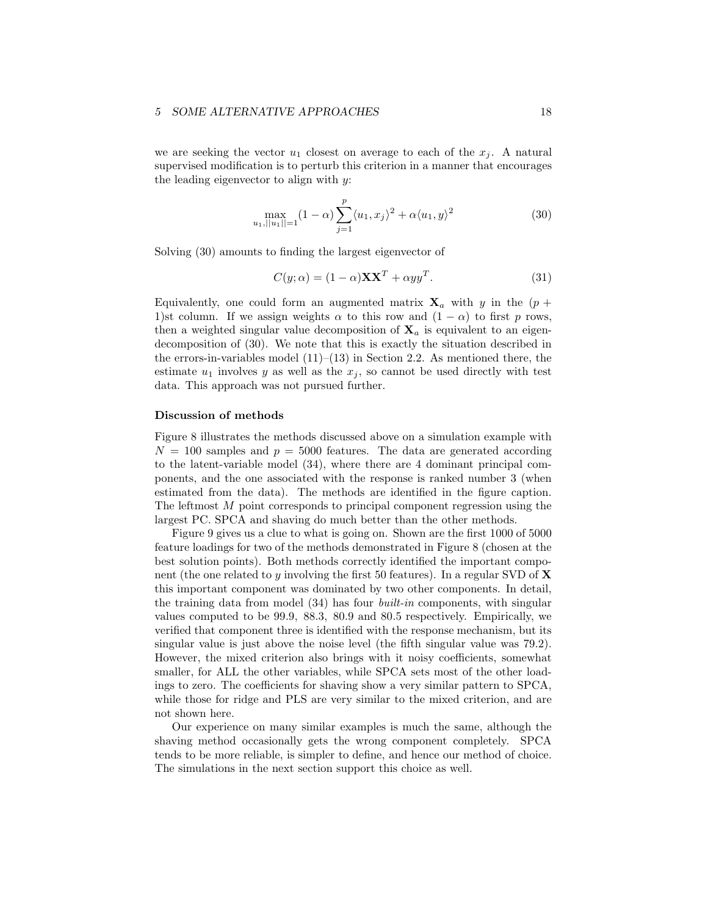we are seeking the vector  $u_1$  closest on average to each of the  $x_j$ . A natural supervised modification is to perturb this criterion in a manner that encourages the leading eigenvector to align with y:

$$
\max_{|u_1| \, ||u_1|| = 1} (1 - \alpha) \sum_{j=1}^p \langle u_1, x_j \rangle^2 + \alpha \langle u_1, y \rangle^2 \tag{30}
$$

Solving (30) amounts to finding the largest eigenvector of

$$
C(y; \alpha) = (1 - \alpha) \mathbf{X} \mathbf{X}^T + \alpha y y^T.
$$
 (31)

Equivalently, one could form an augmented matrix  $X_a$  with y in the  $(p +$ 1)st column. If we assign weights  $\alpha$  to this row and  $(1 - \alpha)$  to first p rows, then a weighted singular value decomposition of  $X_a$  is equivalent to an eigendecomposition of (30). We note that this is exactly the situation described in the errors-in-variables model  $(11)–(13)$  in Section 2.2. As mentioned there, the estimate  $u_1$  involves y as well as the  $x_j$ , so cannot be used directly with test data. This approach was not pursued further.

#### Discussion of methods

Figure 8 illustrates the methods discussed above on a simulation example with  $N = 100$  samples and  $p = 5000$  features. The data are generated according to the latent-variable model (34), where there are 4 dominant principal components, and the one associated with the response is ranked number 3 (when estimated from the data). The methods are identified in the figure caption. The leftmost M point corresponds to principal component regression using the largest PC. SPCA and shaving do much better than the other methods.

Figure 9 gives us a clue to what is going on. Shown are the first 1000 of 5000 feature loadings for two of the methods demonstrated in Figure 8 (chosen at the best solution points). Both methods correctly identified the important component (the one related to y involving the first 50 features). In a regular SVD of  $\bf{X}$ this important component was dominated by two other components. In detail, the training data from model (34) has four built-in components, with singular values computed to be 99.9, 88.3, 80.9 and 80.5 respectively. Empirically, we verified that component three is identified with the response mechanism, but its singular value is just above the noise level (the fifth singular value was 79.2). However, the mixed criterion also brings with it noisy coefficients, somewhat smaller, for ALL the other variables, while SPCA sets most of the other loadings to zero. The coefficients for shaving show a very similar pattern to SPCA, while those for ridge and PLS are very similar to the mixed criterion, and are not shown here.

Our experience on many similar examples is much the same, although the shaving method occasionally gets the wrong component completely. SPCA tends to be more reliable, is simpler to define, and hence our method of choice. The simulations in the next section support this choice as well.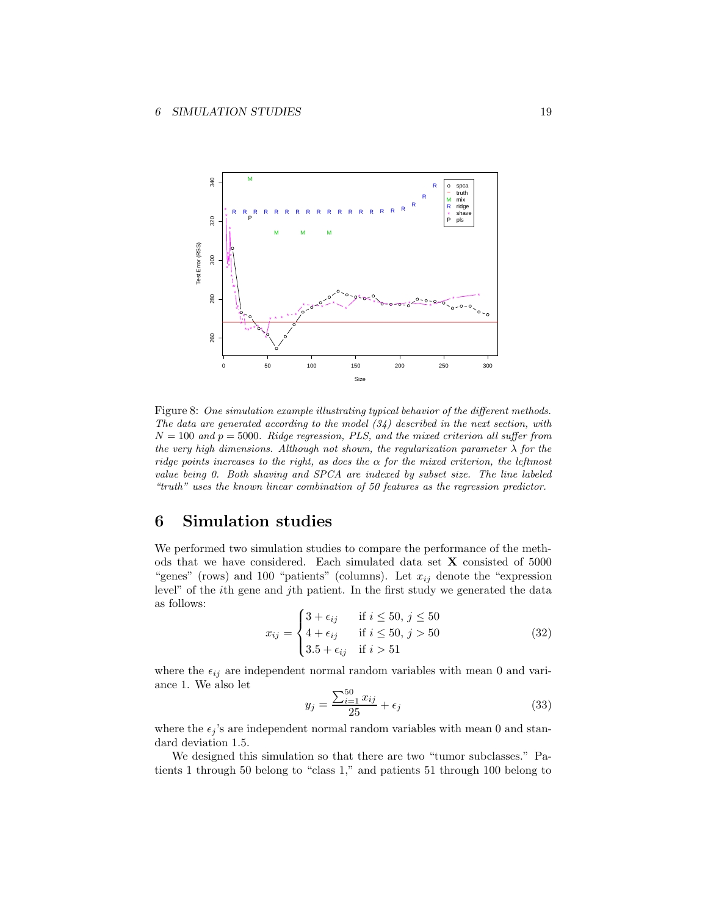

Figure 8: One simulation example illustrating typical behavior of the different methods. The data are generated according to the model  $(34)$  described in the next section, with  $N = 100$  and  $p = 5000$ . Ridge regression, PLS, and the mixed criterion all suffer from the very high dimensions. Although not shown, the regularization parameter  $\lambda$  for the ridge points increases to the right, as does the  $\alpha$  for the mixed criterion, the leftmost value being 0. Both shaving and SPCA are indexed by subset size. The line labeled "truth" uses the known linear combination of 50 features as the regression predictor.

# 6 Simulation studies

We performed two simulation studies to compare the performance of the methods that we have considered. Each simulated data set X consisted of 5000 "genes" (rows) and 100 "patients" (columns). Let  $x_{ij}$  denote the "expression level" of the ith gene and jth patient. In the first study we generated the data as follows:

$$
x_{ij} = \begin{cases} 3 + \epsilon_{ij} & \text{if } i \le 50, j \le 50 \\ 4 + \epsilon_{ij} & \text{if } i \le 50, j > 50 \\ 3.5 + \epsilon_{ij} & \text{if } i > 51 \end{cases}
$$
(32)

where the  $\epsilon_{ij}$  are independent normal random variables with mean 0 and variance 1. We also let

$$
y_j = \frac{\sum_{i=1}^{50} x_{ij}}{25} + \epsilon_j
$$
 (33)

where the  $\epsilon_j$  's are independent normal random variables with mean 0 and standard deviation 1.5.

We designed this simulation so that there are two "tumor subclasses." Patients 1 through 50 belong to "class 1," and patients 51 through 100 belong to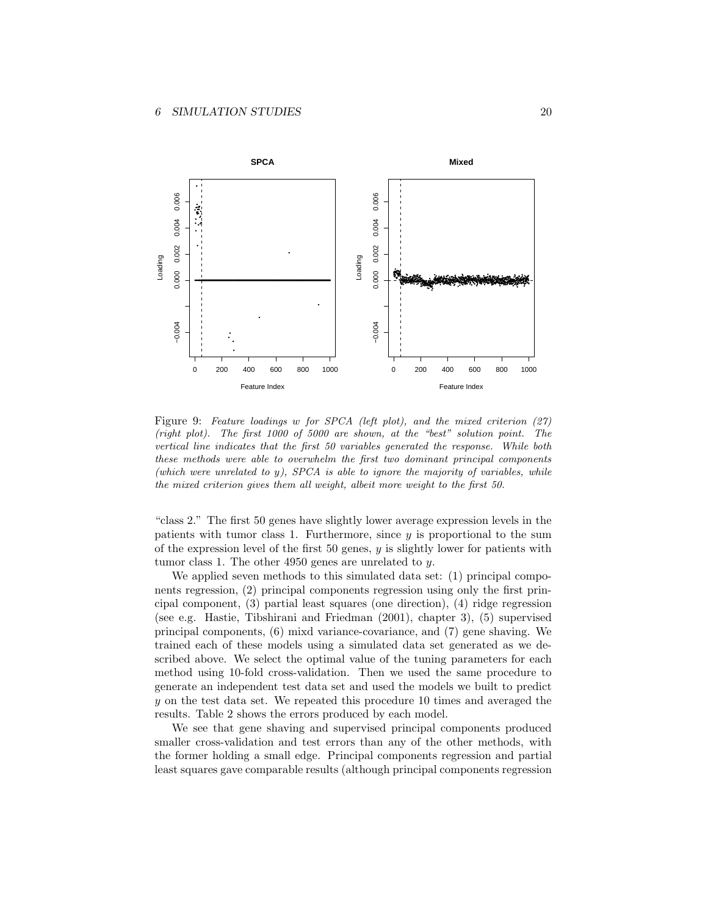

Figure 9: Feature loadings w for SPCA (left plot), and the mixed criterion (27) (right plot). The first 1000 of 5000 are shown, at the "best" solution point. The vertical line indicates that the first 50 variables generated the response. While both these methods were able to overwhelm the first two dominant principal components (which were unrelated to y), SPCA is able to ignore the majority of variables, while the mixed criterion gives them all weight, albeit more weight to the first 50.

"class 2." The first 50 genes have slightly lower average expression levels in the patients with tumor class 1. Furthermore, since  $y$  is proportional to the sum of the expression level of the first  $50$  genes,  $y$  is slightly lower for patients with tumor class 1. The other 4950 genes are unrelated to  $y$ .

We applied seven methods to this simulated data set: (1) principal components regression, (2) principal components regression using only the first principal component, (3) partial least squares (one direction), (4) ridge regression (see e.g. Hastie, Tibshirani and Friedman (2001), chapter 3), (5) supervised principal components, (6) mixd variance-covariance, and (7) gene shaving. We trained each of these models using a simulated data set generated as we described above. We select the optimal value of the tuning parameters for each method using 10-fold cross-validation. Then we used the same procedure to generate an independent test data set and used the models we built to predict y on the test data set. We repeated this procedure 10 times and averaged the results. Table 2 shows the errors produced by each model.

We see that gene shaving and supervised principal components produced smaller cross-validation and test errors than any of the other methods, with the former holding a small edge. Principal components regression and partial least squares gave comparable results (although principal components regression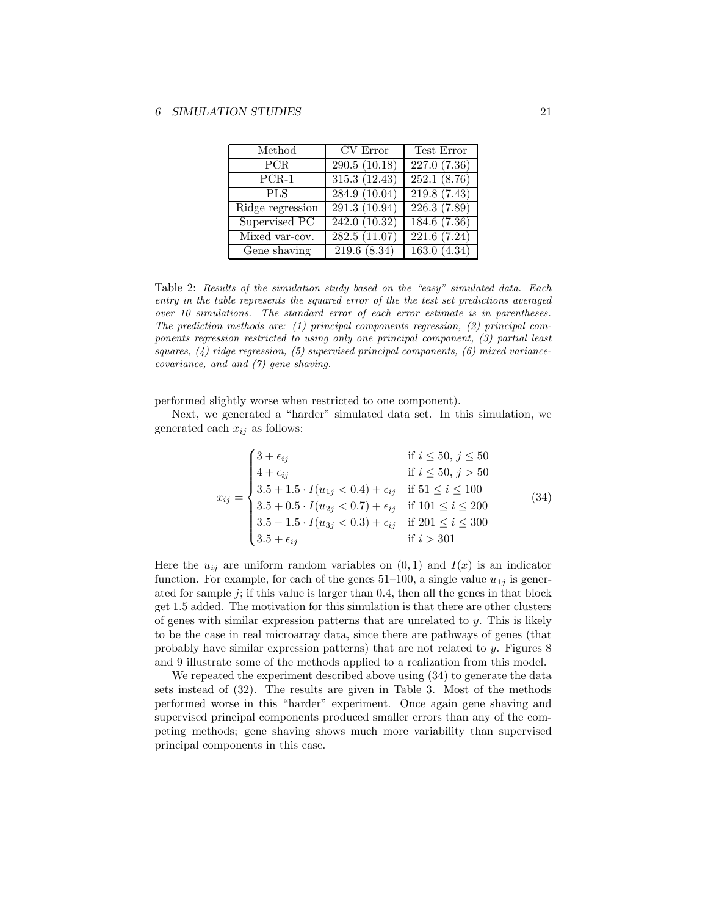| Method             | CV Error                   | Test Error                |
|--------------------|----------------------------|---------------------------|
| PCR.               | $\overline{290.5}$ (10.18) | $\overline{227.0}$ (7.36) |
| $\overline{PCR-1}$ | 315.3(12.43)               | 252.1(8.76)               |
| <b>PLS</b>         | 284.9(10.04)               | 219.8(7.43)               |
| Ridge regression   | 291.3 (10.94)              | $\overline{226.3}$ (7.89) |
| Supervised PC      | 242.0 (10.32)              | $\overline{184.6}$ (7.36) |
| Mixed var-cov.     | 282.5(11.07)               | 221.6(7.24)               |
| Gene shaving       | 219.6 (8.34)               | 163.0(4.34)               |

Table 2: Results of the simulation study based on the "easy" simulated data. Each entry in the table represents the squared error of the the test set predictions averaged over 10 simulations. The standard error of each error estimate is in parentheses. The prediction methods are: (1) principal components regression, (2) principal components regression restricted to using only one principal component, (3) partial least squares,  $(4)$  ridge regression,  $(5)$  supervised principal components,  $(6)$  mixed variancecovariance, and and (7) gene shaving.

performed slightly worse when restricted to one component).

Next, we generated a "harder" simulated data set. In this simulation, we generated each  $x_{ij}$  as follows:

$$
x_{ij} = \begin{cases} 3 + \epsilon_{ij} & \text{if } i \le 50, j \le 50 \\ 4 + \epsilon_{ij} & \text{if } i \le 50, j > 50 \\ 3.5 + 1.5 \cdot I(u_{1j} < 0.4) + \epsilon_{ij} & \text{if } 51 \le i \le 100 \\ 3.5 + 0.5 \cdot I(u_{2j} < 0.7) + \epsilon_{ij} & \text{if } 101 \le i \le 200 \\ 3.5 - 1.5 \cdot I(u_{3j} < 0.3) + \epsilon_{ij} & \text{if } 201 \le i \le 300 \\ 3.5 + \epsilon_{ij} & \text{if } i > 301 \end{cases}
$$
(34)

Here the  $u_{ij}$  are uniform random variables on  $(0, 1)$  and  $I(x)$  is an indicator function. For example, for each of the genes  $51-100$ , a single value  $u_{1j}$  is generated for sample  $j$ ; if this value is larger than 0.4, then all the genes in that block get 1.5 added. The motivation for this simulation is that there are other clusters of genes with similar expression patterns that are unrelated to  $y$ . This is likely to be the case in real microarray data, since there are pathways of genes (that probably have similar expression patterns) that are not related to y. Figures 8 and 9 illustrate some of the methods applied to a realization from this model.

We repeated the experiment described above using (34) to generate the data sets instead of (32). The results are given in Table 3. Most of the methods performed worse in this "harder" experiment. Once again gene shaving and supervised principal components produced smaller errors than any of the competing methods; gene shaving shows much more variability than supervised principal components in this case.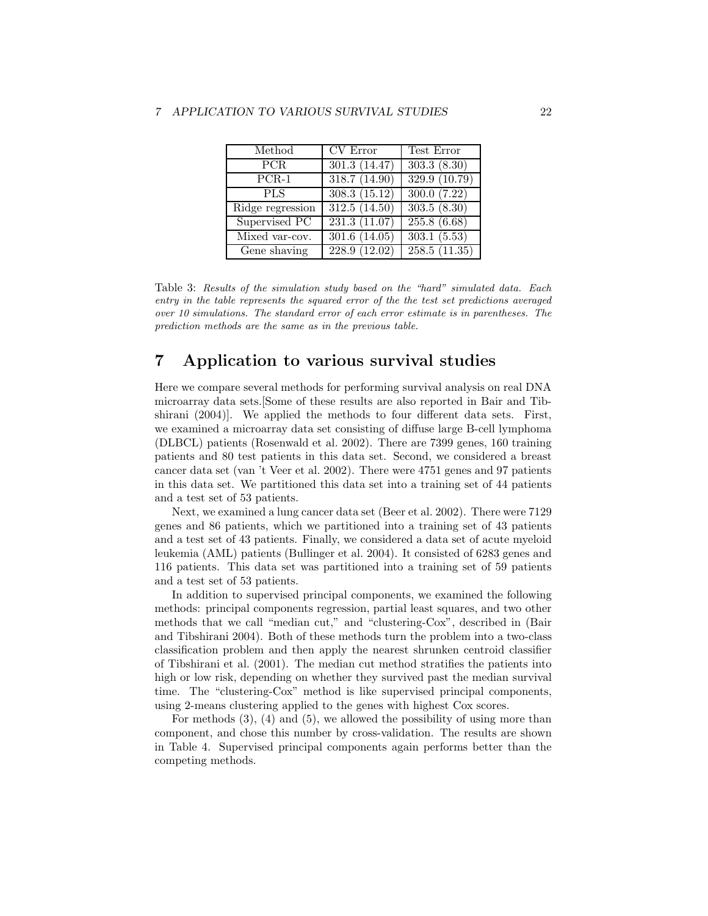| Method           | CV Error                   | Test Error                |
|------------------|----------------------------|---------------------------|
| PCR.             | $\overline{301.3}$ (14.47) | $\overline{303.3}$ (8.30) |
| $PCR-1$          | 318.7(14.90)               | 329.9(10.79)              |
| <b>PLS</b>       | 308.3(15.12)               | 300.0(7.22)               |
| Ridge regression | 312.5(14.50)               | 303.5(8.30)               |
| Supervised PC    | 231.3(11.07)               | $255.8\ (6.68)$           |
| Mixed var-cov.   | 301.6(14.05)               | 303.1(5.53)               |
| Gene shaving     | 228.9(12.02)               | 258.5(11.35)              |

Table 3: Results of the simulation study based on the "hard" simulated data. Each entry in the table represents the squared error of the the test set predictions averaged over 10 simulations. The standard error of each error estimate is in parentheses. The prediction methods are the same as in the previous table.

# 7 Application to various survival studies

Here we compare several methods for performing survival analysis on real DNA microarray data sets.[Some of these results are also reported in Bair and Tibshirani (2004)]. We applied the methods to four different data sets. First, we examined a microarray data set consisting of diffuse large B-cell lymphoma (DLBCL) patients (Rosenwald et al. 2002). There are 7399 genes, 160 training patients and 80 test patients in this data set. Second, we considered a breast cancer data set (van 't Veer et al. 2002). There were 4751 genes and 97 patients in this data set. We partitioned this data set into a training set of 44 patients and a test set of 53 patients.

Next, we examined a lung cancer data set (Beer et al. 2002). There were 7129 genes and 86 patients, which we partitioned into a training set of 43 patients and a test set of 43 patients. Finally, we considered a data set of acute myeloid leukemia (AML) patients (Bullinger et al. 2004). It consisted of 6283 genes and 116 patients. This data set was partitioned into a training set of 59 patients and a test set of 53 patients.

In addition to supervised principal components, we examined the following methods: principal components regression, partial least squares, and two other methods that we call "median cut," and "clustering-Cox", described in (Bair and Tibshirani 2004). Both of these methods turn the problem into a two-class classification problem and then apply the nearest shrunken centroid classifier of Tibshirani et al. (2001). The median cut method stratifies the patients into high or low risk, depending on whether they survived past the median survival time. The "clustering-Cox" method is like supervised principal components, using 2-means clustering applied to the genes with highest Cox scores.

For methods (3), (4) and (5), we allowed the possibility of using more than component, and chose this number by cross-validation. The results are shown in Table 4. Supervised principal components again performs better than the competing methods.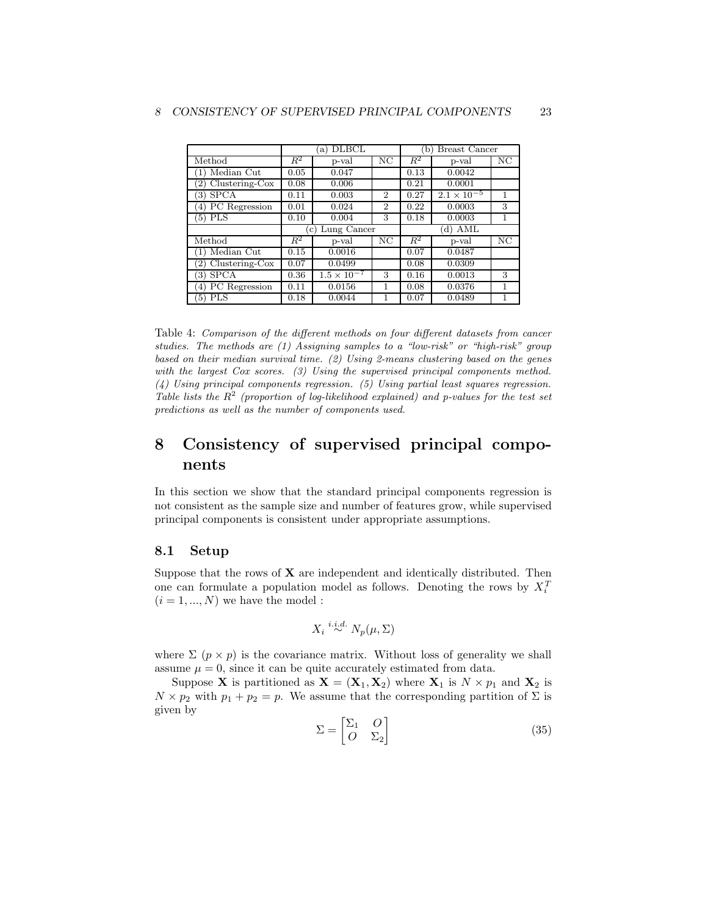|                                   | <b>DLBCL</b><br>a)            |                      |                | <b>Breast Cancer</b><br>(b) |                      |    |
|-----------------------------------|-------------------------------|----------------------|----------------|-----------------------------|----------------------|----|
| Method                            | $R^2$                         | p-val                | NC             | $R^2$                       | p-val                | NΟ |
| Median Cut                        | 0.05                          | 0.047                |                | 0.13                        | 0.0042               |    |
| $Clustering-Cox$                  | 0.08                          | 0.006                |                | 0.21                        | 0.0001               |    |
| <b>SPCA</b><br>3)                 | 0.11                          | 0.003                | $\overline{2}$ | 0.27                        | $2.1 \times 10^{-5}$ | 1  |
| PC Regression<br>4)               | 0.01                          | 0.024                | $\overline{2}$ | 0.22                        | 0.0003               | 3  |
| $(5)$ PLS                         | 0.10                          | 0.004                | 3              | 0.18                        | 0.0003               | 1  |
|                                   | Lung Cancer<br>$\mathbf{c}$ ) |                      |                |                             |                      |    |
|                                   |                               |                      |                |                             | 'd) AML              |    |
| Method                            | $R^2$                         | p-val                | NC             | $R^2$                       | p-val                | NC |
| Median Cut                        | 0.15                          | 0.0016               |                | 0.07                        | 0.0487               |    |
| $(2)$ Clustering-Cox              | 0.07                          | 0.0499               |                | 0.08                        | 0.0309               |    |
| <b>SPCA</b><br>3)                 | 0.36                          | $1.5 \times 10^{-7}$ | 3              | 0.16                        | 0.0013               | 3  |
| PC Regression<br>$\left(4\right)$ | 0.11                          | 0.0156               | 1              | 0.08                        | 0.0376               | 1  |

Table 4: Comparison of the different methods on four different datasets from cancer studies. The methods are (1) Assigning samples to a "low-risk" or "high-risk" group based on their median survival time. (2) Using 2-means clustering based on the genes with the largest Cox scores. (3) Using the supervised principal components method. (4) Using principal components regression. (5) Using partial least squares regression. Table lists the  $\mathbb{R}^2$  (proportion of log-likelihood explained) and p-values for the test set predictions as well as the number of components used.

# 8 Consistency of supervised principal components

In this section we show that the standard principal components regression is not consistent as the sample size and number of features grow, while supervised principal components is consistent under appropriate assumptions.

## 8.1 Setup

Suppose that the rows of  $X$  are independent and identically distributed. Then one can formulate a population model as follows. Denoting the rows by  $X_i^T$  $(i = 1, ..., N)$  we have the model :

$$
X_i \stackrel{i.i.d.}{\sim} N_p(\mu, \Sigma)
$$

where  $\Sigma$  ( $p \times p$ ) is the covariance matrix. Without loss of generality we shall assume  $\mu = 0$ , since it can be quite accurately estimated from data.

Suppose **X** is partitioned as  $X = (X_1, X_2)$  where  $X_1$  is  $N \times p_1$  and  $X_2$  is  $N \times p_2$  with  $p_1 + p_2 = p$ . We assume that the corresponding partition of  $\Sigma$  is given by

$$
\Sigma = \begin{bmatrix} \Sigma_1 & O \\ O & \Sigma_2 \end{bmatrix} \tag{35}
$$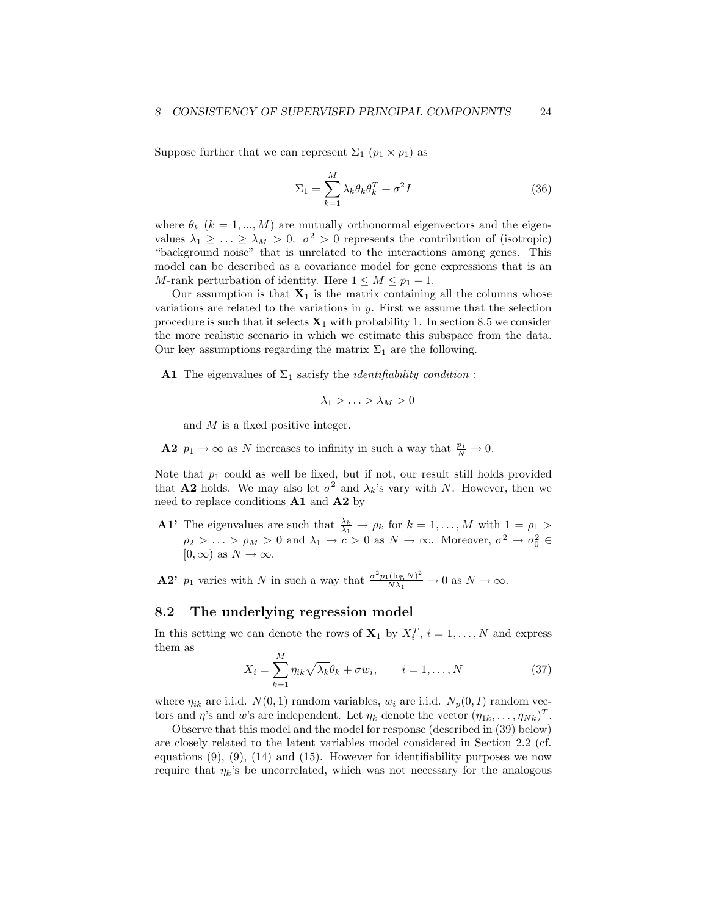Suppose further that we can represent  $\Sigma_1$   $(p_1 \times p_1)$  as

$$
\Sigma_1 = \sum_{k=1}^{M} \lambda_k \theta_k \theta_k^T + \sigma^2 I \tag{36}
$$

where  $\theta_k$  ( $k = 1, ..., M$ ) are mutually orthonormal eigenvectors and the eigenvalues  $\lambda_1 \geq \ldots \geq \lambda_M > 0$ .  $\sigma^2 > 0$  represents the contribution of (isotropic) "background noise" that is unrelated to the interactions among genes. This model can be described as a covariance model for gene expressions that is an M-rank perturbation of identity. Here  $1 \leq M \leq p_1 - 1$ .

Our assumption is that  $X_1$  is the matrix containing all the columns whose variations are related to the variations in  $y$ . First we assume that the selection procedure is such that it selects  $X_1$  with probability 1. In section 8.5 we consider the more realistic scenario in which we estimate this subspace from the data. Our key assumptions regarding the matrix  $\Sigma_1$  are the following.

A1 The eigenvalues of  $\Sigma_1$  satisfy the *identifiability condition*:

$$
\lambda_1 > \ldots > \lambda_M > 0
$$

and M is a fixed positive integer.

**A2**  $p_1 \to \infty$  as N increases to infinity in such a way that  $\frac{p_1}{N} \to 0$ .

Note that  $p_1$  could as well be fixed, but if not, our result still holds provided that **A2** holds. We may also let  $\sigma^2$  and  $\lambda_k$ 's vary with N. However, then we need to replace conditions  $\mathbf{A1}$  and  $\mathbf{A2}$  by

**A1'** The eigenvalues are such that  $\frac{\lambda_k}{\lambda_1} \to \rho_k$  for  $k = 1, ..., M$  with  $1 = \rho_1 >$  $\rho_2 > \ldots > \rho_M > 0$  and  $\lambda_1 \to c > 0$  as  $N \to \infty$ . Moreover,  $\sigma^2 \to \sigma_0^2 \in$  $[0, \infty)$  as  $N \to \infty$ .

**A2'**  $p_1$  varies with N in such a way that  $\frac{\sigma^2 p_1(\log N)^2}{N\lambda_1} \to 0$  as  $N \to \infty$ .

## 8.2 The underlying regression model

In this setting we can denote the rows of  $X_1$  by  $X_i^T$ ,  $i = 1, ..., N$  and express them as

$$
X_i = \sum_{k=1}^{M} \eta_{ik} \sqrt{\lambda_k} \theta_k + \sigma w_i, \qquad i = 1, \dots, N
$$
 (37)

where  $\eta_{ik}$  are i.i.d.  $N(0, 1)$  random variables,  $w_i$  are i.i.d.  $N_p(0, I)$  random vectors and  $\eta$ 's and w's are independent. Let  $\eta_k$  denote the vector  $(\eta_{1k}, \ldots, \eta_{Nk})^T$ .

Observe that this model and the model for response (described in (39) below) are closely related to the latent variables model considered in Section 2.2 (cf. equations  $(9)$ ,  $(9)$ ,  $(14)$  and  $(15)$ . However for identifiability purposes we now require that  $\eta_k$ 's be uncorrelated, which was not necessary for the analogous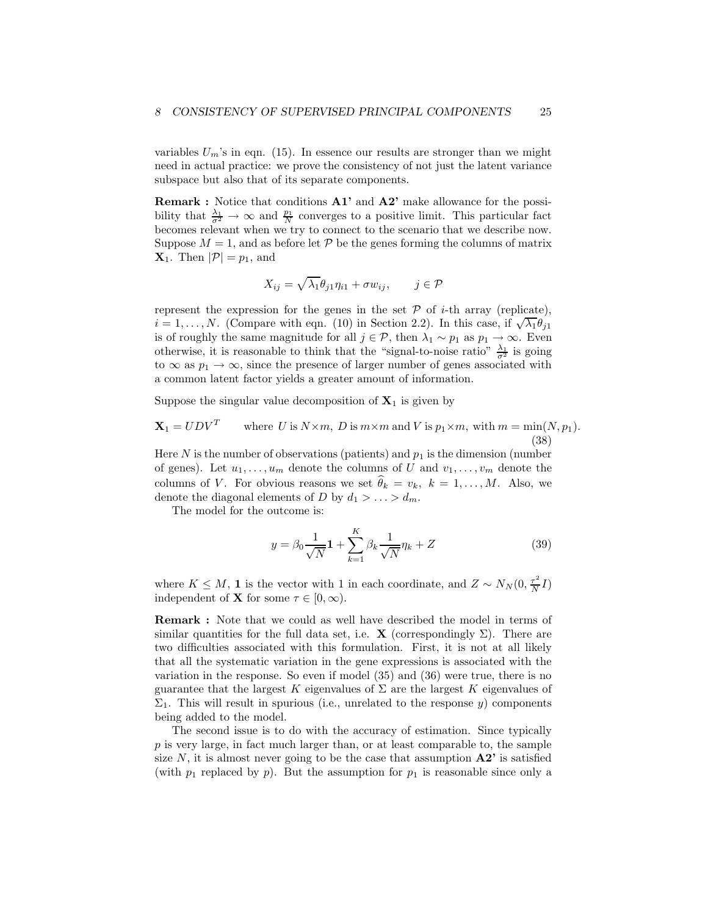variables  $U_m$ 's in eqn. (15). In essence our results are stronger than we might need in actual practice: we prove the consistency of not just the latent variance subspace but also that of its separate components.

Remark : Notice that conditions A1' and A2' make allowance for the possibility that  $\frac{\lambda_1}{\sigma^2} \to \infty$  and  $\frac{p_1}{N}$  converges to a positive limit. This particular fact becomes relevant when we try to connect to the scenario that we describe now. Suppose  $M = 1$ , and as before let P be the genes forming the columns of matrix  $\mathbf{X}_1$ . Then  $|\mathcal{P}| = p_1$ , and

$$
X_{ij} = \sqrt{\lambda_1} \theta_{j1} \eta_{i1} + \sigma w_{ij}, \qquad j \in \mathcal{P}
$$

represent the expression for the genes in the set  $P$  of *i*-th array (replicate),  $i = 1, \ldots, N$ . (Compare with eqn. (10) in Section 2.2). In this case, if  $\sqrt{\lambda_1} \theta_{j1}$ is of roughly the same magnitude for all  $j \in \mathcal{P}$ , then  $\lambda_1 \sim p_1$  as  $p_1 \to \infty$ . Even otherwise, it is reasonable to think that the "signal-to-noise ratio"  $\frac{\lambda_1}{\sigma^2}$  is going to  $\infty$  as  $p_1 \to \infty$ , since the presence of larger number of genes associated with a common latent factor yields a greater amount of information.

Suppose the singular value decomposition of  $X_1$  is given by

$$
\mathbf{X}_1 = UDV^T \qquad \text{where } U \text{ is } N \times m, \ D \text{ is } m \times m \text{ and } V \text{ is } p_1 \times m, \text{ with } m = \min(N, p_1). \tag{38}
$$

Here  $N$  is the number of observations (patients) and  $p_1$  is the dimension (number of genes). Let  $u_1, \ldots, u_m$  denote the columns of U and  $v_1, \ldots, v_m$  denote the columns of V. For obvious reasons we set  $\widehat{\theta}_k = v_k, k = 1, \ldots, M$ . Also, we denote the diagonal elements of D by  $d_1 > \ldots > d_m$ .

The model for the outcome is:

$$
y = \beta_0 \frac{1}{\sqrt{N}} \mathbf{1} + \sum_{k=1}^{K} \beta_k \frac{1}{\sqrt{N}} \eta_k + Z \tag{39}
$$

where  $K \leq M$ , 1 is the vector with 1 in each coordinate, and  $Z \sim N_N(0, \frac{\tau^2}{N})$  $\frac{\tau^2}{N}I)$ independent of **X** for some  $\tau \in [0, \infty)$ .

Remark : Note that we could as well have described the model in terms of similar quantities for the full data set, i.e. **X** (correspondingly  $\Sigma$ ). There are two difficulties associated with this formulation. First, it is not at all likely that all the systematic variation in the gene expressions is associated with the variation in the response. So even if model (35) and (36) were true, there is no guarantee that the largest K eigenvalues of  $\Sigma$  are the largest K eigenvalues of  $\Sigma_1$ . This will result in spurious (i.e., unrelated to the response y) components being added to the model.

The second issue is to do with the accuracy of estimation. Since typically p is very large, in fact much larger than, or at least comparable to, the sample size N, it is almost never going to be the case that assumption  $\mathbf{A2}^{\prime}$  is satisfied (with  $p_1$  replaced by p). But the assumption for  $p_1$  is reasonable since only a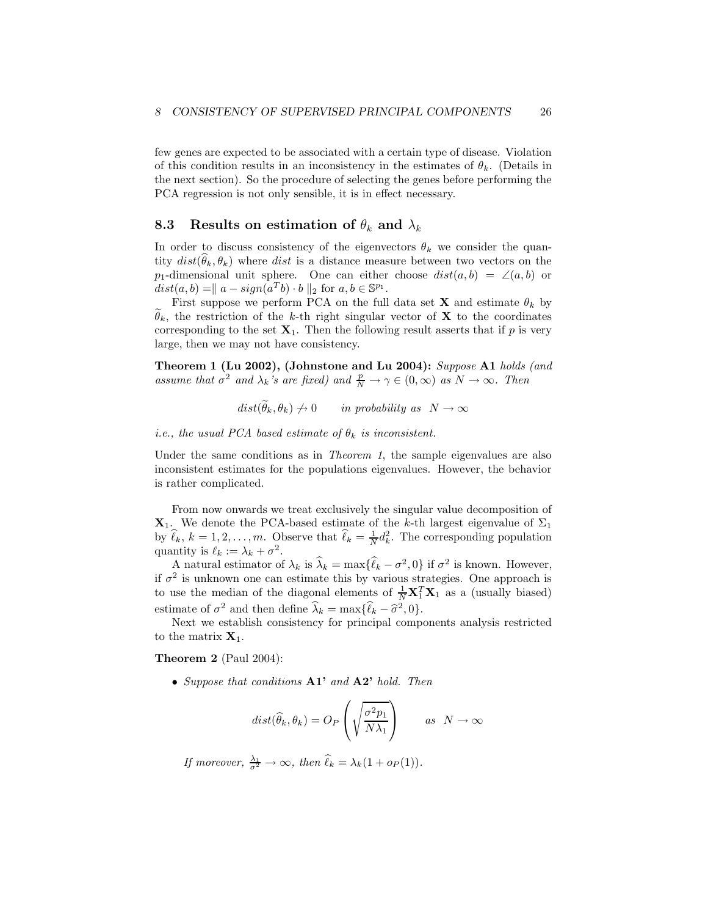few genes are expected to be associated with a certain type of disease. Violation of this condition results in an inconsistency in the estimates of  $\theta_k$ . (Details in the next section). So the procedure of selecting the genes before performing the PCA regression is not only sensible, it is in effect necessary.

## 8.3 Results on estimation of  $\theta_k$  and  $\lambda_k$

In order to discuss consistency of the eigenvectors  $\theta_k$  we consider the quantity  $dist(\hat{\theta}_k, \theta_k)$  where dist is a distance measure between two vectors on the p<sub>1</sub>-dimensional unit sphere. One can either choose  $dist(a, b) = \angle(a, b)$  or  $dist(a, b) = || a - sign(a<sup>T</sup>b) \cdot b ||_2$  for  $a, b \in \mathbb{S}^{p_1}$ .

First suppose we perform PCA on the full data set **X** and estimate  $\theta_k$  by  $\theta_k$ , the restriction of the k-th right singular vector of **X** to the coordinates corresponding to the set  $X_1$ . Then the following result asserts that if p is very large, then we may not have consistency.

Theorem 1 (Lu 2002), (Johnstone and Lu 2004): Suppose A1 holds (and assume that  $\sigma^2$  and  $\lambda_k$ 's are fixed) and  $\frac{p}{N} \to \gamma \in (0, \infty)$  as  $N \to \infty$ . Then

 $dist(\widetilde{\theta}_k, \theta_k) \neq 0$  in probability as  $N \to \infty$ 

i.e., the usual PCA based estimate of  $\theta_k$  is inconsistent.

Under the same conditions as in *Theorem 1*, the sample eigenvalues are also inconsistent estimates for the populations eigenvalues. However, the behavior is rather complicated.

From now onwards we treat exclusively the singular value decomposition of  $\mathbf{X}_1$ . We denote the PCA-based estimate of the k-th largest eigenvalue of  $\Sigma_1$ by  $\hat{\ell}_k$ ,  $k = 1, 2, \ldots, m$ . Observe that  $\hat{\ell}_k = \frac{1}{N} d_k^2$ . The corresponding population quantity is  $\ell_k := \lambda_k + \sigma^2$ .

A natural estimator of  $\lambda_k$  is  $\hat{\lambda}_k = \max{\{\hat{\ell}_k - \sigma^2, 0\}}$  if  $\sigma^2$  is known. However, if  $\sigma^2$  is unknown one can estimate this by various strategies. One approach is to use the median of the diagonal elements of  $\frac{1}{N} \mathbf{X}_1^T \mathbf{X}_1$  as a (usually biased) estimate of  $\sigma^2$  and then define  $\hat{\lambda}_k = \max{\{\hat{\ell}_k - \hat{\sigma}^2, 0\}}$ .

Next we establish consistency for principal components analysis restricted to the matrix  $X_1$ .

#### Theorem 2 (Paul 2004):

• Suppose that conditions  $A1'$  and  $A2'$  hold. Then

$$
dist(\widehat{\theta}_k, \theta_k) = O_P\left(\sqrt{\frac{\sigma^2 p_1}{N\lambda_1}}\right) \qquad \text{as} \quad N \to \infty
$$

If moreover,  $\frac{\lambda_1}{\sigma^2} \to \infty$ , then  $\hat{\ell}_k = \lambda_k(1 + o_P(1)).$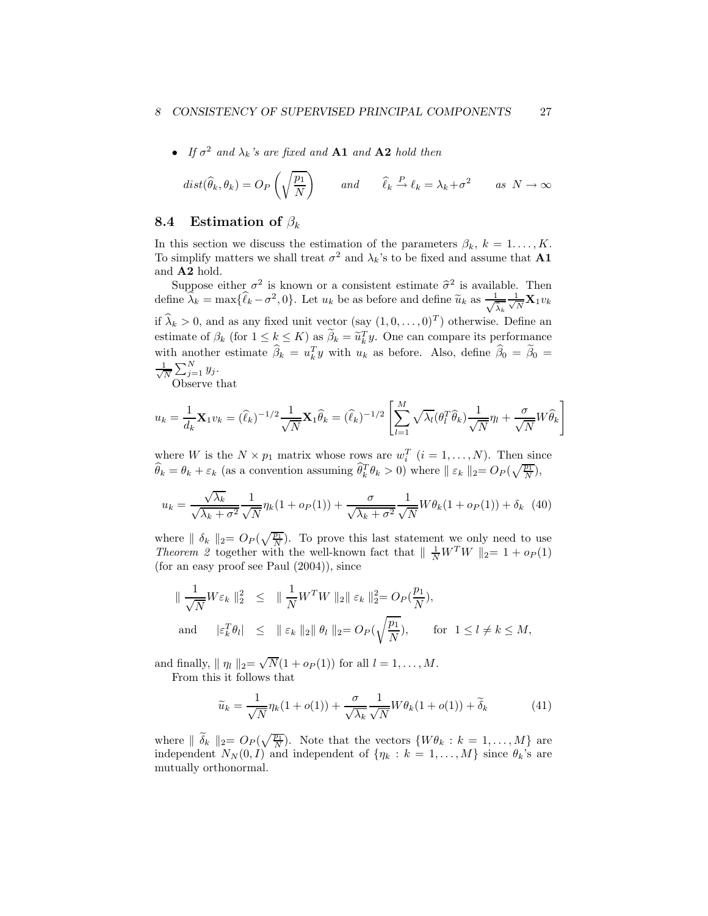#### 8 CONSISTENCY OF SUPERVISED PRINCIPAL COMPONENTS 27

• If  $\sigma^2$  and  $\lambda_k$ 's are fixed and **A1** and **A2** hold then

$$
dist(\widehat{\theta}_k, \theta_k) = O_P\left(\sqrt{\frac{p_1}{N}}\right) \qquad and \qquad \widehat{\ell}_k \stackrel{P}{\to} \ell_k = \lambda_k + \sigma^2 \qquad as \ N \to \infty
$$

## 8.4 Estimation of  $\beta_k$

In this section we discuss the estimation of the parameters  $\beta_k$ ,  $k = 1, ..., K$ . To simplify matters we shall treat  $\sigma^2$  and  $\lambda_k$ 's to be fixed and assume that **A1** and A2 hold.

Suppose either  $\sigma^2$  is known or a consistent estimate  $\hat{\sigma}^2$  is available. Then define  $\hat{\lambda}_k = \max{\{\hat{\ell}_k - \sigma^2, 0\}}$ . Let  $u_k$  be as before and define  $\tilde{u}_k$  as  $\frac{1}{\sqrt{\hat{\lambda}_k}} \frac{1}{\sqrt{N}}$  $\frac{1}{N} \mathbf{X}_1 v_k$ if  $\hat{\lambda}_k > 0$ , and as any fixed unit vector  $(\text{say } (1, 0, \dots, 0)^T)$  otherwise. Define an estimate of  $\beta_k$  (for  $1 \leq k \leq K$ ) as  $\beta_k = \tilde{u}_k^T y$ . One can compare its performance with another estimate  $\hat{\beta}_k = u_k^T y$  with  $u_k$  as before. Also, define  $\hat{\beta}_0 = \hat{\beta}_0 =$ √ 1  $\frac{1}{N} \sum_{j=1}^{N} y_j$ .

Observe that

$$
u_k = \frac{1}{d_k} \mathbf{X}_1 v_k = (\hat{\ell}_k)^{-1/2} \frac{1}{\sqrt{N}} \mathbf{X}_1 \hat{\theta}_k = (\hat{\ell}_k)^{-1/2} \left[ \sum_{l=1}^M \sqrt{\lambda_l} (\theta_l^T \hat{\theta}_k) \frac{1}{\sqrt{N}} \eta_l + \frac{\sigma}{\sqrt{N}} W \hat{\theta}_k \right]
$$

where W is the  $N \times p_1$  matrix whose rows are  $w_i^T$   $(i = 1, ..., N)$ . Then since  $\widehat{\theta}_k = \theta_k + \varepsilon_k$  (as a convention assuming  $\widehat{\theta}_k^T \theta_k > 0$ ) where  $|| \varepsilon_k ||_2 = O_P(\sqrt{\frac{p_1}{N}})$ ,

$$
u_k = \frac{\sqrt{\lambda_k}}{\sqrt{\lambda_k + \sigma^2}} \frac{1}{\sqrt{N}} \eta_k (1 + o_P(1)) + \frac{\sigma}{\sqrt{\lambda_k + \sigma^2}} \frac{1}{\sqrt{N}} W \theta_k (1 + o_P(1)) + \delta_k \tag{40}
$$

where  $\|\delta_k\|_2 = O_P(\sqrt{\frac{p_1}{N}})$ . To prove this last statement we only need to use *Theorem 2* together with the well-known fact that  $\frac{1}{N}W^TW$   $\|_2=1+o_P(1)$ (for an easy proof see Paul (2004)), since

$$
\begin{array}{rcl}\n\|\frac{1}{\sqrt{N}}W\varepsilon_k\|_2^2 & \leq & \|\frac{1}{N}W^TW\|_2 \|\varepsilon_k\|_2^2 = O_P(\frac{p_1}{N}), \\
\text{and} & |\varepsilon_k^T \theta_l| \leq & \|\varepsilon_k\|_2 \|\theta_l\|_2 = O_P(\sqrt{\frac{p_1}{N}}), \qquad \text{for } 1 \leq l \neq k \leq M,\n\end{array}
$$

and finally,  $|| \eta_l ||_2 = \sqrt{N}(1 + o_P(1))$  for all  $l = 1, ..., M$ .

From this it follows that

$$
\widetilde{u}_k = \frac{1}{\sqrt{N}} \eta_k (1 + o(1)) + \frac{\sigma}{\sqrt{\lambda_k}} \frac{1}{\sqrt{N}} W \theta_k (1 + o(1)) + \widetilde{\delta}_k \tag{41}
$$

where  $\|\tilde{\delta}_k\|_2 = O_P(\sqrt{\frac{p_1}{N}})$ . Note that the vectors  $\{W\theta_k : k = 1, \ldots, M\}$  are independent  $N_N(0, I)$  and independent of  $\{\eta_k : k = 1, ..., M\}$  since  $\theta_k$ 's are mutually orthonormal.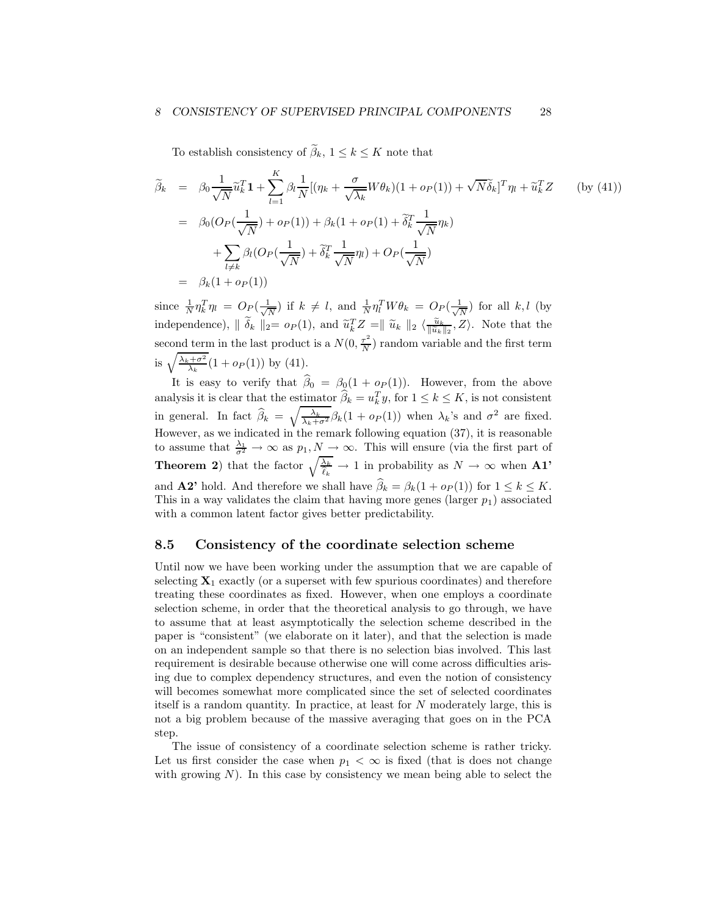#### 8 CONSISTENCY OF SUPERVISED PRINCIPAL COMPONENTS 28

To establish consistency of  $\widetilde{\beta}_k, \, 1 \leq k \leq K$  note that

$$
\widetilde{\beta}_k = \beta_0 \frac{1}{\sqrt{N}} \widetilde{u}_k^T \mathbf{1} + \sum_{l=1}^K \beta_l \frac{1}{N} [(\eta_k + \frac{\sigma}{\sqrt{\lambda_k}} W \theta_k)(1 + o_P(1)) + \sqrt{N} \widetilde{\delta}_k]^T \eta_l + \widetilde{u}_k^T Z \qquad \text{(by (41))}
$$
\n
$$
= \beta_0 (O_P(\frac{1}{\sqrt{N}}) + o_P(1)) + \beta_k (1 + o_P(1) + \widetilde{\delta}_k^T \frac{1}{\sqrt{N}} \eta_k)
$$
\n
$$
+ \sum_{l \neq k} \beta_l (O_P(\frac{1}{\sqrt{N}}) + \widetilde{\delta}_k^T \frac{1}{\sqrt{N}} \eta_l) + O_P(\frac{1}{\sqrt{N}})
$$
\n
$$
= \beta_k (1 + o_P(1))
$$

since  $\frac{1}{N} \eta_k^T \eta_l = O_P(\frac{1}{\sqrt{l}})$  $\frac{1}{N}$ ) if  $k \neq l$ , and  $\frac{1}{N} \eta_l^T W \theta_k = O_P(\frac{1}{\sqrt{l}})$  $\frac{1}{N}$ ) for all  $k, l$  (by independence),  $\|\tilde{\delta}_k\|_2 = o_P(1)$ , and  $\tilde{u}_k^T Z = \|\tilde{u}_k\|_2 \langle \frac{\tilde{u}_k}{\|\tilde{u}_k\|_2}, Z \rangle$ . Note that the second term in the last product is a  $N(0, \frac{\tau^2}{N})$  $\frac{\tau}{N}$ ) random variable and the first term is  $\sqrt{\frac{\lambda_k + \sigma^2}{\lambda_k}}(1 + o_P(1))$  by (41).

It is easy to verify that  $\beta_0 = \beta_0(1 + o_P(1))$ . However, from the above analysis it is clear that the estimator  $\hat{\beta}_k = u_k^T y$ , for  $1 \le k \le K$ , is not consistent in general. In fact  $\hat{\beta}_k = \sqrt{\frac{\lambda_k}{\lambda_k + \sigma^2}} \beta_k (1 + o_P(1))$  when  $\lambda_k$ 's and  $\sigma^2$  are fixed. However, as we indicated in the remark following equation  $(37)$ , it is reasonable to assume that  $\frac{\lambda_1}{\sigma^2} \to \infty$  as  $p_1, N \to \infty$ . This will ensure (via the first part of **Theorem 2**) that the factor  $\sqrt{\frac{\lambda_k}{\hat{\ell}_k}} \to 1$  in probability as  $N \to \infty$  when **A1**' and **A2'** hold. And therefore we shall have  $\widehat{\beta}_k = \beta_k(1 + o_P(1))$  for  $1 \leq k \leq K$ . This in a way validates the claim that having more genes (larger  $p_1$ ) associated with a common latent factor gives better predictability.

### 8.5 Consistency of the coordinate selection scheme

Until now we have been working under the assumption that we are capable of selecting  $X_1$  exactly (or a superset with few spurious coordinates) and therefore treating these coordinates as fixed. However, when one employs a coordinate selection scheme, in order that the theoretical analysis to go through, we have to assume that at least asymptotically the selection scheme described in the paper is "consistent" (we elaborate on it later), and that the selection is made on an independent sample so that there is no selection bias involved. This last requirement is desirable because otherwise one will come across difficulties arising due to complex dependency structures, and even the notion of consistency will becomes somewhat more complicated since the set of selected coordinates itself is a random quantity. In practice, at least for N moderately large, this is not a big problem because of the massive averaging that goes on in the PCA step.

The issue of consistency of a coordinate selection scheme is rather tricky. Let us first consider the case when  $p_1 < \infty$  is fixed (that is does not change with growing  $N$ ). In this case by consistency we mean being able to select the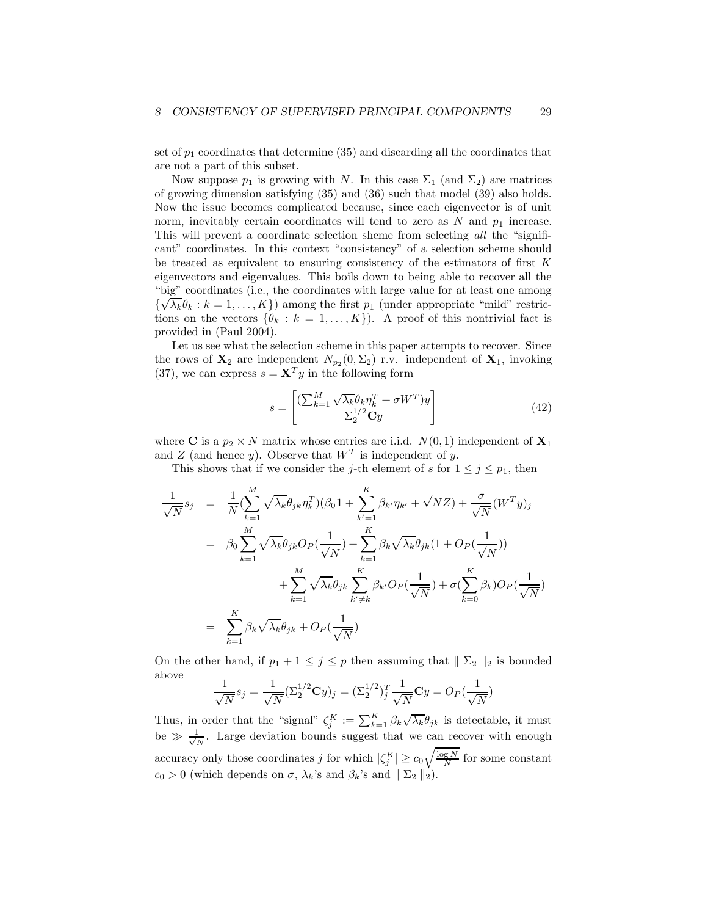set of  $p_1$  coordinates that determine (35) and discarding all the coordinates that are not a part of this subset.

Now suppose  $p_1$  is growing with N. In this case  $\Sigma_1$  (and  $\Sigma_2$ ) are matrices of growing dimension satisfying (35) and (36) such that model (39) also holds. Now the issue becomes complicated because, since each eigenvector is of unit norm, inevitably certain coordinates will tend to zero as  $N$  and  $p_1$  increase. This will prevent a coordinate selection sheme from selecting all the "significant" coordinates. In this context "consistency" of a selection scheme should be treated as equivalent to ensuring consistency of the estimators of first K eigenvectors and eigenvalues. This boils down to being able to recover all the "big" coordinates (i.e., the coordinates with large value for at least one among  $\{\sqrt{\lambda_k}\theta_k : k = 1, ..., K\}$ ) among the first  $p_1$  (under appropriate "mild" restrictions on the vectors  $\{\theta_k : k = 1, ..., K\}$ . A proof of this nontrivial fact is provided in (Paul 2004).

Let us see what the selection scheme in this paper attempts to recover. Since the rows of  $\mathbf{X}_2$  are independent  $N_{p_2}(0, \Sigma_2)$  r.v. independent of  $\mathbf{X}_1$ , invoking (37), we can express  $s = \mathbf{X}^T y$  in the following form

$$
s = \begin{bmatrix} \left(\sum_{k=1}^{M} \sqrt{\lambda_k} \theta_k \eta_k^T + \sigma W^T \right) y \\ \sum_{2}^{1/2} \mathbf{C} y \end{bmatrix}
$$
(42)

where **C** is a  $p_2 \times N$  matrix whose entries are i.i.d.  $N(0, 1)$  independent of  $\mathbf{X}_1$ and Z (and hence y). Observe that  $W<sup>T</sup>$  is independent of y.

This shows that if we consider the j-th element of s for  $1 \leq j \leq p_1$ , then

$$
\frac{1}{\sqrt{N}}s_j = \frac{1}{N}(\sum_{k=1}^M \sqrt{\lambda_k} \theta_{jk} \eta_k^T)(\beta_0 \mathbf{1} + \sum_{k'=1}^K \beta_{k'} \eta_{k'} + \sqrt{N}Z) + \frac{\sigma}{\sqrt{N}}(W^T y)_j
$$
\n
$$
= \beta_0 \sum_{k=1}^M \sqrt{\lambda_k} \theta_{jk} O_P(\frac{1}{\sqrt{N}}) + \sum_{k=1}^K \beta_k \sqrt{\lambda_k} \theta_{jk} (1 + O_P(\frac{1}{\sqrt{N}}))
$$
\n
$$
+ \sum_{k=1}^M \sqrt{\lambda_k} \theta_{jk} \sum_{k'\neq k}^K \beta_{k'} O_P(\frac{1}{\sqrt{N}}) + \sigma(\sum_{k=0}^K \beta_k) O_P(\frac{1}{\sqrt{N}})
$$
\n
$$
= \sum_{k=1}^K \beta_k \sqrt{\lambda_k} \theta_{jk} + O_P(\frac{1}{\sqrt{N}})
$$

On the other hand, if  $p_1 + 1 \leq j \leq p$  then assuming that  $\| \Sigma_2 \|_2$  is bounded above

$$
\frac{1}{\sqrt{N}}s_j = \frac{1}{\sqrt{N}}(\Sigma_2^{1/2} \mathbf{C}y)_j = (\Sigma_2^{1/2})_j^T \frac{1}{\sqrt{N}} \mathbf{C}y = O_P(\frac{1}{\sqrt{N}})
$$

Thus, in order that the "signal"  $\zeta_j^K := \sum_{k=1}^K \beta_k \sqrt{\lambda_k} \theta_{jk}$  is detectable, it must be  $\gg \frac{1}{\sqrt{l}}$  $\frac{1}{N}$ . Large deviation bounds suggest that we can recover with enough accuracy only those coordinates  $j$  for which  $|\zeta_j^K| \ge c_0 \sqrt{\frac{\log N}{N}}$  for some constant  $c_0 > 0$  (which depends on  $\sigma$ ,  $\lambda_k$ 's and  $\beta_k$ 's and  $\parallel \Sigma_2 \parallel_2$ ).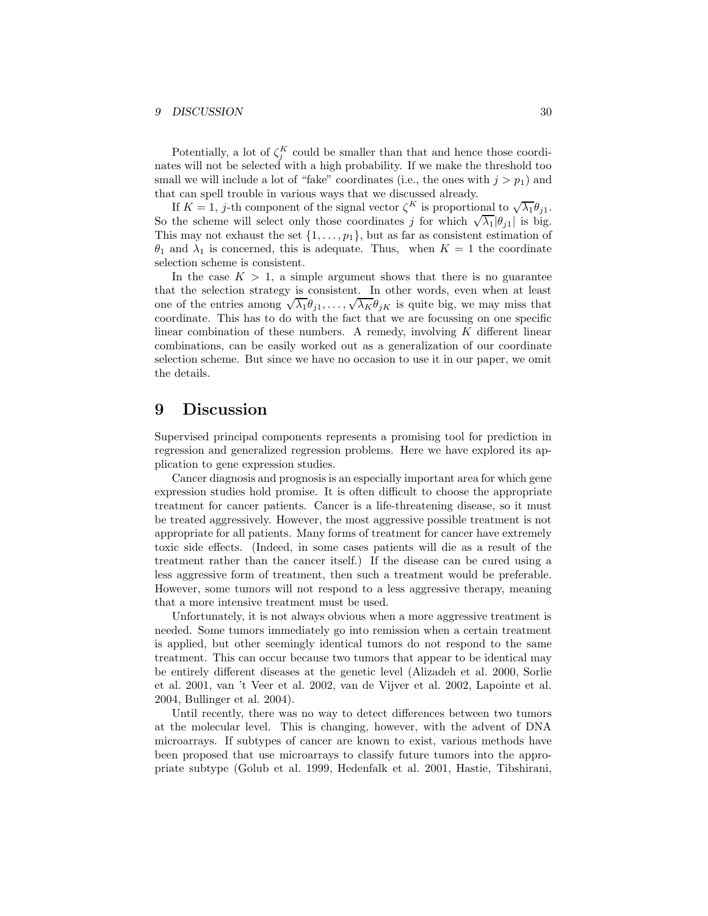#### 9 DISCUSSION 30

Potentially, a lot of  $\zeta_j^K$  could be smaller than that and hence those coordinates will not be selected with a high probability. If we make the threshold too small we will include a lot of "fake" coordinates (i.e., the ones with  $j > p_1$ ) and that can spell trouble in various ways that we discussed already.

If  $K = 1$ , j-th component of the signal vector  $\zeta^K$  is proportional to  $\sqrt{\lambda_1} \theta_{j1}$ . So the scheme will select only those coordinates j for which  $\sqrt{\lambda_1}|\theta_{j1}|$  is big. This may not exhaust the set  $\{1, \ldots, p_1\}$ , but as far as consistent estimation of  $\theta_1$  and  $\lambda_1$  is concerned, this is adequate. Thus, when  $K = 1$  the coordinate selection scheme is consistent.

In the case  $K > 1$ , a simple argument shows that there is no guarantee that the selection strategy is consistent. In other words, even when at least one of the entries among  $\sqrt{\lambda_1} \theta_{j1}, \ldots, \sqrt{\lambda_K} \theta_{jK}$  is quite big, we may miss that coordinate. This has to do with the fact that we are focussing on one specific linear combination of these numbers. A remedy, involving  $K$  different linear combinations, can be easily worked out as a generalization of our coordinate selection scheme. But since we have no occasion to use it in our paper, we omit the details.

## 9 Discussion

Supervised principal components represents a promising tool for prediction in regression and generalized regression problems. Here we have explored its application to gene expression studies.

Cancer diagnosis and prognosis is an especially important area for which gene expression studies hold promise. It is often difficult to choose the appropriate treatment for cancer patients. Cancer is a life-threatening disease, so it must be treated aggressively. However, the most aggressive possible treatment is not appropriate for all patients. Many forms of treatment for cancer have extremely toxic side effects. (Indeed, in some cases patients will die as a result of the treatment rather than the cancer itself.) If the disease can be cured using a less aggressive form of treatment, then such a treatment would be preferable. However, some tumors will not respond to a less aggressive therapy, meaning that a more intensive treatment must be used.

Unfortunately, it is not always obvious when a more aggressive treatment is needed. Some tumors immediately go into remission when a certain treatment is applied, but other seemingly identical tumors do not respond to the same treatment. This can occur because two tumors that appear to be identical may be entirely different diseases at the genetic level (Alizadeh et al. 2000, Sorlie et al. 2001, van 't Veer et al. 2002, van de Vijver et al. 2002, Lapointe et al. 2004, Bullinger et al. 2004).

Until recently, there was no way to detect differences between two tumors at the molecular level. This is changing, however, with the advent of DNA microarrays. If subtypes of cancer are known to exist, various methods have been proposed that use microarrays to classify future tumors into the appropriate subtype (Golub et al. 1999, Hedenfalk et al. 2001, Hastie, Tibshirani,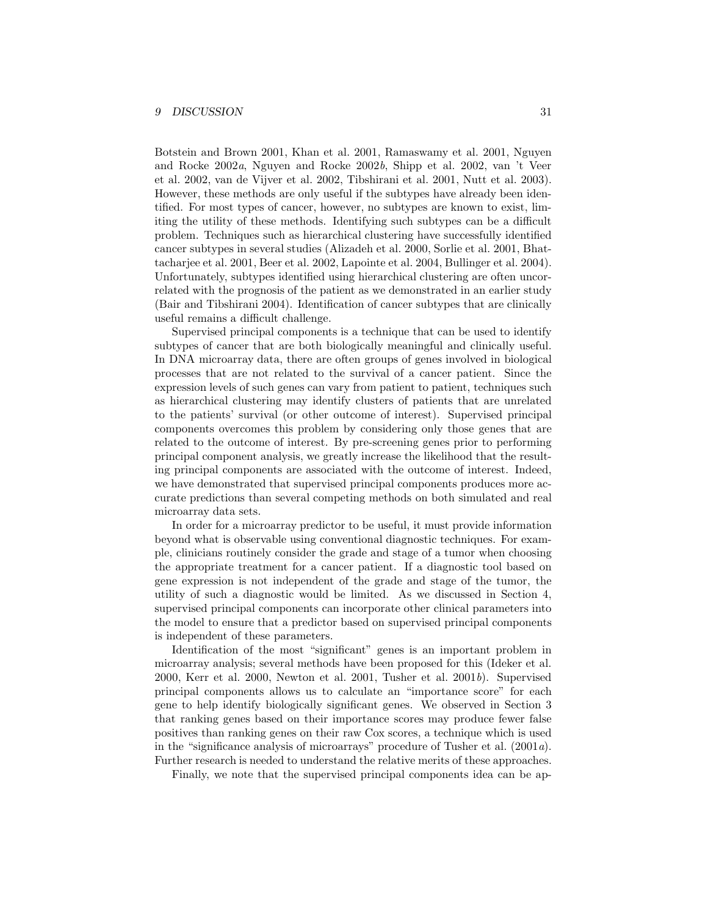Botstein and Brown 2001, Khan et al. 2001, Ramaswamy et al. 2001, Nguyen and Rocke 2002a, Nguyen and Rocke 2002b, Shipp et al. 2002, van 't Veer et al. 2002, van de Vijver et al. 2002, Tibshirani et al. 2001, Nutt et al. 2003). However, these methods are only useful if the subtypes have already been identified. For most types of cancer, however, no subtypes are known to exist, limiting the utility of these methods. Identifying such subtypes can be a difficult problem. Techniques such as hierarchical clustering have successfully identified cancer subtypes in several studies (Alizadeh et al. 2000, Sorlie et al. 2001, Bhattacharjee et al. 2001, Beer et al. 2002, Lapointe et al. 2004, Bullinger et al. 2004). Unfortunately, subtypes identified using hierarchical clustering are often uncorrelated with the prognosis of the patient as we demonstrated in an earlier study (Bair and Tibshirani 2004). Identification of cancer subtypes that are clinically useful remains a difficult challenge.

Supervised principal components is a technique that can be used to identify subtypes of cancer that are both biologically meaningful and clinically useful. In DNA microarray data, there are often groups of genes involved in biological processes that are not related to the survival of a cancer patient. Since the expression levels of such genes can vary from patient to patient, techniques such as hierarchical clustering may identify clusters of patients that are unrelated to the patients' survival (or other outcome of interest). Supervised principal components overcomes this problem by considering only those genes that are related to the outcome of interest. By pre-screening genes prior to performing principal component analysis, we greatly increase the likelihood that the resulting principal components are associated with the outcome of interest. Indeed, we have demonstrated that supervised principal components produces more accurate predictions than several competing methods on both simulated and real microarray data sets.

In order for a microarray predictor to be useful, it must provide information beyond what is observable using conventional diagnostic techniques. For example, clinicians routinely consider the grade and stage of a tumor when choosing the appropriate treatment for a cancer patient. If a diagnostic tool based on gene expression is not independent of the grade and stage of the tumor, the utility of such a diagnostic would be limited. As we discussed in Section 4, supervised principal components can incorporate other clinical parameters into the model to ensure that a predictor based on supervised principal components is independent of these parameters.

Identification of the most "significant" genes is an important problem in microarray analysis; several methods have been proposed for this (Ideker et al. 2000, Kerr et al. 2000, Newton et al. 2001, Tusher et al. 2001b). Supervised principal components allows us to calculate an "importance score" for each gene to help identify biologically significant genes. We observed in Section 3 that ranking genes based on their importance scores may produce fewer false positives than ranking genes on their raw Cox scores, a technique which is used in the "significance analysis of microarrays" procedure of Tusher et al. (2001a). Further research is needed to understand the relative merits of these approaches.

Finally, we note that the supervised principal components idea can be ap-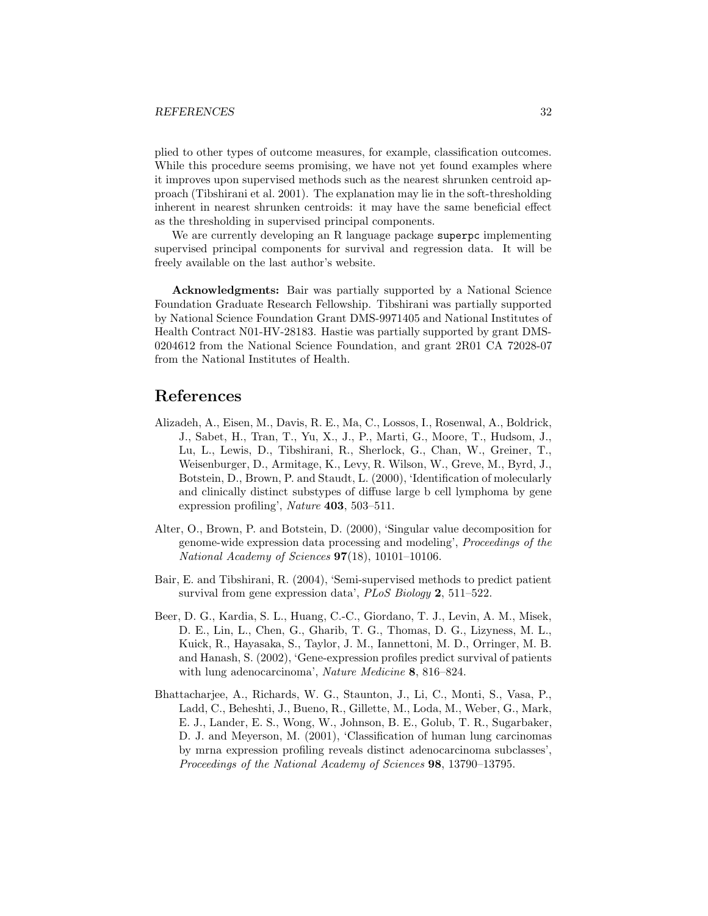#### REFERENCES 32

plied to other types of outcome measures, for example, classification outcomes. While this procedure seems promising, we have not yet found examples where it improves upon supervised methods such as the nearest shrunken centroid approach (Tibshirani et al. 2001). The explanation may lie in the soft-thresholding inherent in nearest shrunken centroids: it may have the same beneficial effect as the thresholding in supervised principal components.

We are currently developing an R language package superpc implementing supervised principal components for survival and regression data. It will be freely available on the last author's website.

Acknowledgments: Bair was partially supported by a National Science Foundation Graduate Research Fellowship. Tibshirani was partially supported by National Science Foundation Grant DMS-9971405 and National Institutes of Health Contract N01-HV-28183. Hastie was partially supported by grant DMS-0204612 from the National Science Foundation, and grant 2R01 CA 72028-07 from the National Institutes of Health.

# References

- Alizadeh, A., Eisen, M., Davis, R. E., Ma, C., Lossos, I., Rosenwal, A., Boldrick, J., Sabet, H., Tran, T., Yu, X., J., P., Marti, G., Moore, T., Hudsom, J., Lu, L., Lewis, D., Tibshirani, R., Sherlock, G., Chan, W., Greiner, T., Weisenburger, D., Armitage, K., Levy, R. Wilson, W., Greve, M., Byrd, J., Botstein, D., Brown, P. and Staudt, L. (2000), 'Identification of molecularly and clinically distinct substypes of diffuse large b cell lymphoma by gene expression profiling', *Nature* **403**, 503-511.
- Alter, O., Brown, P. and Botstein, D. (2000), 'Singular value decomposition for genome-wide expression data processing and modeling', Proceedings of the National Academy of Sciences  $97(18)$ , 10101-10106.
- Bair, E. and Tibshirani, R. (2004), 'Semi-supervised methods to predict patient survival from gene expression data', *PLoS Biology* 2, 511–522.
- Beer, D. G., Kardia, S. L., Huang, C.-C., Giordano, T. J., Levin, A. M., Misek, D. E., Lin, L., Chen, G., Gharib, T. G., Thomas, D. G., Lizyness, M. L., Kuick, R., Hayasaka, S., Taylor, J. M., Iannettoni, M. D., Orringer, M. B. and Hanash, S. (2002), 'Gene-expression profiles predict survival of patients with lung adenocarcinoma', Nature Medicine 8, 816–824.
- Bhattacharjee, A., Richards, W. G., Staunton, J., Li, C., Monti, S., Vasa, P., Ladd, C., Beheshti, J., Bueno, R., Gillette, M., Loda, M., Weber, G., Mark, E. J., Lander, E. S., Wong, W., Johnson, B. E., Golub, T. R., Sugarbaker, D. J. and Meyerson, M. (2001), 'Classification of human lung carcinomas by mrna expression profiling reveals distinct adenocarcinoma subclasses', Proceedings of the National Academy of Sciences 98, 13790–13795.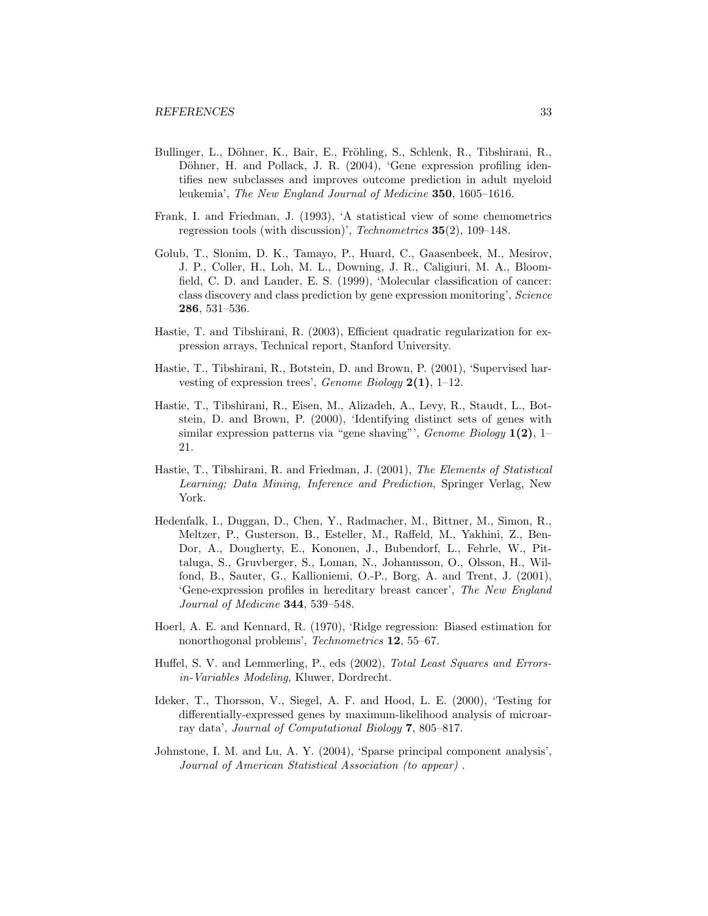- Bullinger, L., Döhner, K., Bair, E., Fröhling, S., Schlenk, R., Tibshirani, R., Döhner, H. and Pollack, J. R. (2004), 'Gene expression profiling identifies new subclasses and improves outcome prediction in adult myeloid leukemia', The New England Journal of Medicine 350, 1605–1616.
- Frank, I. and Friedman, J. (1993), 'A statistical view of some chemometrics regression tools (with discussion)', Technometrics 35(2), 109–148.
- Golub, T., Slonim, D. K., Tamayo, P., Huard, C., Gaasenbeek, M., Mesirov, J. P., Coller, H., Loh, M. L., Downing, J. R., Caligiuri, M. A., Bloomfield, C. D. and Lander, E. S. (1999), 'Molecular classification of cancer: class discovery and class prediction by gene expression monitoring', Science 286, 531–536.
- Hastie, T. and Tibshirani, R. (2003), Efficient quadratic regularization for expression arrays, Technical report, Stanford University.
- Hastie, T., Tibshirani, R., Botstein, D. and Brown, P. (2001), 'Supervised harvesting of expression trees', *Genome Biology*  $2(1)$ , 1–12.
- Hastie, T., Tibshirani, R., Eisen, M., Alizadeh, A., Levy, R., Staudt, L., Botstein, D. and Brown, P. (2000), 'Identifying distinct sets of genes with similar expression patterns via "gene shaving"',  $Genome\ Biology 1(2), 1-$ 21.
- Hastie, T., Tibshirani, R. and Friedman, J. (2001), The Elements of Statistical Learning; Data Mining, Inference and Prediction, Springer Verlag, New York.
- Hedenfalk, I., Duggan, D., Chen, Y., Radmacher, M., Bittner, M., Simon, R., Meltzer, P., Gusterson, B., Esteller, M., Raffeld, M., Yakhini, Z., Ben-Dor, A., Dougherty, E., Kononen, J., Bubendorf, L., Fehrle, W., Pittaluga, S., Gruvberger, S., Loman, N., Johannsson, O., Olsson, H., Wilfond, B., Sauter, G., Kallioniemi, O.-P., Borg, A. and Trent, J. (2001), 'Gene-expression profiles in hereditary breast cancer', The New England Journal of Medicine 344, 539–548.
- Hoerl, A. E. and Kennard, R. (1970), 'Ridge regression: Biased estimation for nonorthogonal problems', Technometrics 12, 55–67.
- Huffel, S. V. and Lemmerling, P., eds (2002), Total Least Squares and Errorsin-Variables Modeling, Kluwer, Dordrecht.
- Ideker, T., Thorsson, V., Siegel, A. F. and Hood, L. E. (2000), 'Testing for differentially-expressed genes by maximum-likelihood analysis of microarray data', Journal of Computational Biology 7, 805–817.
- Johnstone, I. M. and Lu, A. Y. (2004), 'Sparse principal component analysis', Journal of American Statistical Association (to appear) .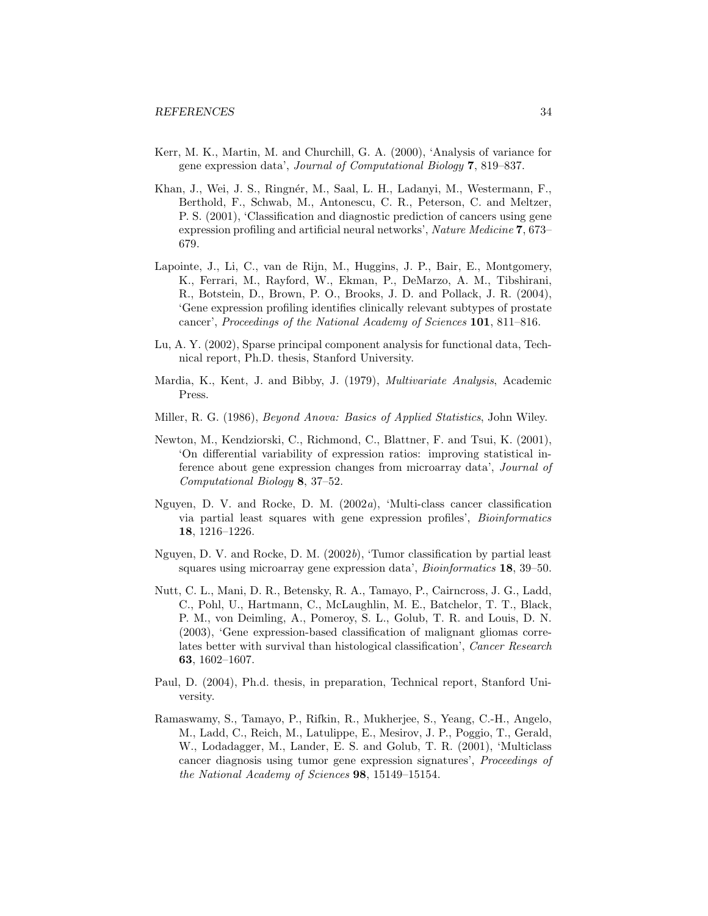- Kerr, M. K., Martin, M. and Churchill, G. A. (2000), 'Analysis of variance for gene expression data', Journal of Computational Biology 7, 819–837.
- Khan, J., Wei, J. S., Ringnér, M., Saal, L. H., Ladanyi, M., Westermann, F., Berthold, F., Schwab, M., Antonescu, C. R., Peterson, C. and Meltzer, P. S. (2001), 'Classification and diagnostic prediction of cancers using gene expression profiling and artificial neural networks', Nature Medicine 7, 673– 679.
- Lapointe, J., Li, C., van de Rijn, M., Huggins, J. P., Bair, E., Montgomery, K., Ferrari, M., Rayford, W., Ekman, P., DeMarzo, A. M., Tibshirani, R., Botstein, D., Brown, P. O., Brooks, J. D. and Pollack, J. R. (2004), 'Gene expression profiling identifies clinically relevant subtypes of prostate cancer', Proceedings of the National Academy of Sciences 101, 811–816.
- Lu, A. Y. (2002), Sparse principal component analysis for functional data, Technical report, Ph.D. thesis, Stanford University.
- Mardia, K., Kent, J. and Bibby, J. (1979), Multivariate Analysis, Academic Press.
- Miller, R. G. (1986), Beyond Anova: Basics of Applied Statistics, John Wiley.
- Newton, M., Kendziorski, C., Richmond, C., Blattner, F. and Tsui, K. (2001), 'On differential variability of expression ratios: improving statistical inference about gene expression changes from microarray data', Journal of Computational Biology 8, 37–52.
- Nguyen, D. V. and Rocke, D. M.  $(2002a)$ , 'Multi-class cancer classification via partial least squares with gene expression profiles', Bioinformatics 18, 1216–1226.
- Nguyen, D. V. and Rocke, D. M. (2002b), 'Tumor classification by partial least squares using microarray gene expression data', *Bioinformatics* **18**, 39–50.
- Nutt, C. L., Mani, D. R., Betensky, R. A., Tamayo, P., Cairncross, J. G., Ladd, C., Pohl, U., Hartmann, C., McLaughlin, M. E., Batchelor, T. T., Black, P. M., von Deimling, A., Pomeroy, S. L., Golub, T. R. and Louis, D. N. (2003), 'Gene expression-based classification of malignant gliomas correlates better with survival than histological classification', Cancer Research 63, 1602–1607.
- Paul, D. (2004), Ph.d. thesis, in preparation, Technical report, Stanford University.
- Ramaswamy, S., Tamayo, P., Rifkin, R., Mukherjee, S., Yeang, C.-H., Angelo, M., Ladd, C., Reich, M., Latulippe, E., Mesirov, J. P., Poggio, T., Gerald, W., Lodadagger, M., Lander, E. S. and Golub, T. R. (2001), 'Multiclass cancer diagnosis using tumor gene expression signatures', Proceedings of the National Academy of Sciences 98, 15149–15154.